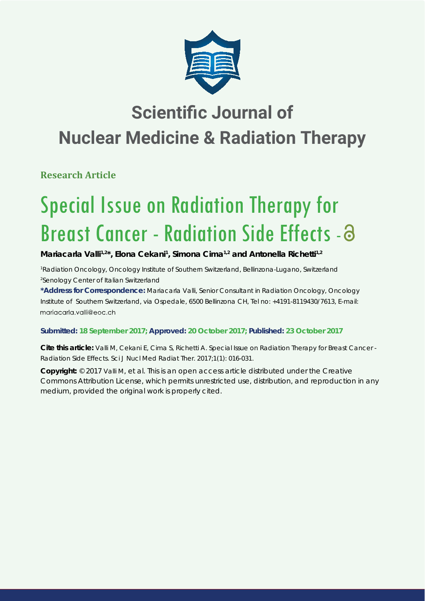

# **Scientific Journal of Nuclear Medicine & Radiation Therapy**

**Research Article**

# Special Issue on Radiation Therapy for Breast Cancer - Radiation Side Effects -

Mariacarla Valli<sup>1,2\*</sup>, Elona Cekani<sup>1</sup>, Simona Cima<sup>1,2</sup> and Antonella Richetti<sup>1,2</sup>

*1 Radiation Oncology, Oncology Institute of Southern Switzerland, Bellinzona-Lugano, Switzerland 2 Senology Center of Italian Switzerland*

**\*Address for Correspondence:** Mariacarla Valli, Senior Consultant in Radiation Oncology, Oncology Institute of Southern Switzerland, via Ospedale, 6500 Bellinzona CH, Tel no: +4191-8119430/7613, E-mail: mariacarla.valli@eoc.ch

# **Submitted: 18 September 2017; Approved: 20 October 2017; Published: 23 October 2017**

**Cite this article:** Valli M, Cekani E, Cima S, Richetti A. Special Issue on Radiation Therapy for Breast Cancer - Radiation Side Effects. Sci J Nucl Med Radiat Ther. 2017;1(1): 016-031.

**Copyright:** © 2017 Valli M, et al. This is an open access article distributed under the Creative Commons Attribution License, which permits unrestricted use, distribution, and reproduction in any medium, provided the original work is properly cited.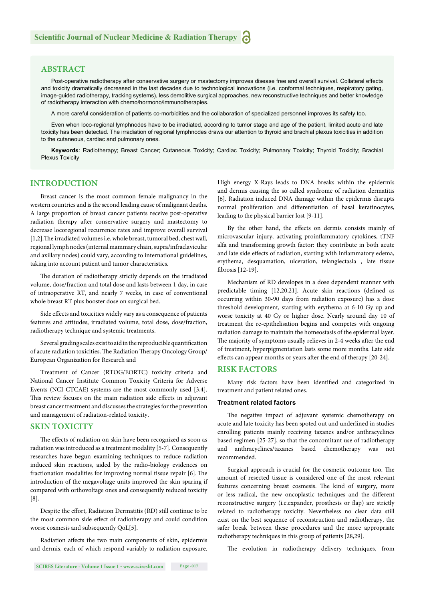# **ABSTRACT**

Post-operative radiotherapy after conservative surgery or mastectomy improves disease free and overall survival. Collateral effects and toxicity dramatically decreased in the last decades due to technological innovations (i.e. conformal techniques, respiratory gating, image-guided radiotherapy, tracking systems), less demolitive surgical approaches, new reconstructive techniques and better knowledge of radiotherapy interaction with chemo/hormono/immunotherapies.

A more careful consideration of patients co-morbidities and the collaboration of specialized personnel improves its safety too.

Even when loco-regional lymphnodes have to be irradiated, according to tumor stage and age of the patient, limited acute and late toxicity has been detected. The irradiation of regional lymphnodes draws our attention to thyroid and brachial plexus toxicities in addition to the cutaneous, cardiac and pulmonary ones.

**Keywords**: Radiotherapy; Breast Cancer; Cutaneous Toxicity; Cardiac Toxicity; Pulmonary Toxicity; Thyroid Toxicity; Brachial Plexus Toxicity

# **INTRODUCTION**

Breast cancer is the most common female malignancy in the western countries and is the second leading cause of malignant deaths. A large proportion of breast cancer patients receive post-operative radiation therapy after conservative surgery and mastectomy to decrease locoregional recurrence rates and improve overall survival [1,2]. The irradiated volumes i.e. whole breast, tumoral bed, chest wall, regional lymph nodes (internal mammary chain, supra/infraclavicular and axillary nodes) could vary, according to international guidelines, taking into account patient and tumor characteristics.

The duration of radiotherapy strictly depends on the irradiated volume, dose/fraction and total dose and lasts between 1 day, in case of intraoperative RT, and nearly 7 weeks, in case of conventional whole breast RT plus booster dose on surgical bed.

Side effects and toxicities widely vary as a consequence of patients features and attitudes, irradiated volume, total dose, dose/fraction, radiotherapy technique and systemic treatments.

Several grading scales exist to aid in the reproducible quantification of acute radiation toxicities. The Radiation Therapy Oncology Group/ European Organization for Research and

Treatment of Cancer (RTOG/EORTC) toxicity criteria and National Cancer Institute Common Toxicity Criteria for Adverse Events (NCI CTCAE) systems are the most commonly used [3,4]. This review focuses on the main radiation side effects in adjuvant breast cancer treatment and discusses the strategies for the prevention and management of radiation-related toxicity.

# **SKIN TOXICITY**

The effects of radiation on skin have been recognized as soon as radiation was introduced as a treatment modality [5-7]. Consequently researches have begun examining techniques to reduce radiation induced skin reactions, aided by the radio-biology evidences on fractionation modalities for improving normal tissue repair [6]. The introduction of the megavoltage units improved the skin sparing if compared with orthovoltage ones and consequently reduced toxicity [8].

Despite the effort, Radiation Dermatitis (RD) still continue to be the most common side effect of radiotherapy and could condition worse cosmesis and subsequently QoL[5].

Radiation affects the two main components of skin, epidermis and dermis, each of which respond variably to radiation exposure. High energy X-Rays leads to DNA breaks within the epidermis and dermis causing the so called syndrome of radiation dermatitis [6]. Radiation induced DNA damage within the epidermis disrupts normal proliferation and differentiation of basal keratinocytes, leading to the physical barrier lost [9-11].

By the other hand, the effects on dermis consists mainly of microvascular injury, activating proinflammatory cytokines, tTNF alfa and transforming growth factor: they contribute in both acute and late side effects of radiation, starting with inflammatory edema, erythema, desquamation, ulceration, telangiectasia , late tissue fibrosis [12-19].

Mechanism of RD developes in a dose dependent manner with predictable timing [12,20,21]. Acute skin reactions (defined as occurring within 30-90 days from radiation exposure) has a dose threshold development, starting with erythema at 6-10 Gy up and worse toxicity at 40 Gy or higher dose. Nearly around day 10 of treatment the re-epithelisation begins and competes with ongoing radiation damage to maintain the homeostasis of the epidermal layer. The majority of symptoms usually relieves in 2-4 weeks after the end of treatment, hyperpigmentation lasts some more months. Late side effects can appear months or years after the end of therapy [20-24].

#### **RISK FACTORS**

Many risk factors have been identified and categorized in treatment and patient related ones.

#### **Treatment related factors**

The negative impact of adjuvant systemic chemotherapy on acute and late toxicity has been spoted out and underlined in studies enrolling patients mainly receiving taxanes and/or anthracyclines based regimen [25-27], so that the concomitant use of radiotherapy and anthracyclines/taxanes based chemotherapy was not recommended.

Surgical approach is crucial for the cosmetic outcome too. The amount of resected tissue is considered one of the most relevant features concerning breast cosmesis. The kind of surgery, more or less radical, the new oncoplastic techniques and the different reconstructive surgery (i.e.expander, prosthesis or flap) are strictly related to radiotherapy toxicity. Nevertheless no clear data still exist on the best sequence of reconstruction and radiotherapy, the safer break between these procedures and the more appropriate radiotherapy techniques in this group of patients [28,29].

The evolution in radiotherapy delivery techniques, from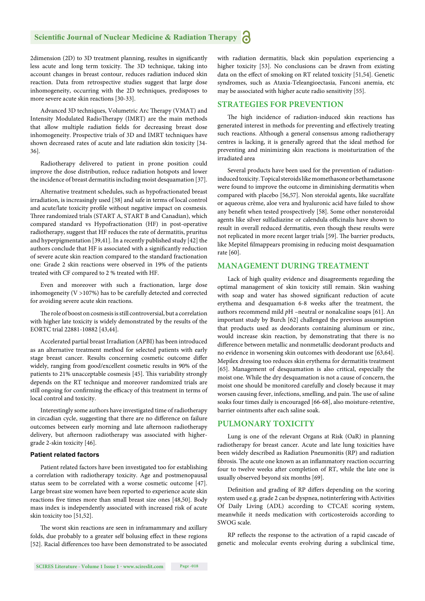2dimension (2D) to 3D treatment planning, resultes in significantly less acute and long term toxicity. The 3D technique, taking into account changes in breast contour, reduces radiation induced skin reaction. Data from retrospective studies suggest that large dose inhomogeneity, occurring with the 2D techniques, predisposes to more severe acute skin reactions [30-33].

Advanced 3D techniques, Volumetric Arc Therapy (VMAT) and Intensity Modulated RadioTherapy (IMRT) are the main methods that allow multiple radiation fields for decreasing breast dose inhomogeneity. Prospective trials of 3D and IMRT techniques have shown decreased rates of acute and late radiation skin toxicity [34- 36].

Radiotherapy delivered to patient in prone position could improve the dose distribution, reduce radiation hotspots and lower the incidence of breast dermatitis including moist desquamation [37].

Alternative treatment schedules, such as hypofractionated breast irradiation, is increasingly used [38] and safe in terms of local control and acute/late toxicity profile without negative impact on cosmesis. Three randomized trials (START A, START B and Canadian), which compared standard vs Hypofractionation (HF) in post-operative radiotherapy, suggest that HF reduces the rate of dermatitis, pruritus and hyperpigmentation [39,41]. In a recently published study [42] the authors conclude that HF is associated with a significantly reduction of severe acute skin reaction compared to the standard fractionation one: Grade 2 skin reactions were observed in 19% of the patients treated with CF compared to 2 % treated with HF.

Even and moreover with such a fractionation, large dose inhomogeneity (V >107%) has to be carefully detected and corrected for avoiding severe acute skin reactions.

The role of boost on cosmesis is still controversial, but a correlation with higher late toxicity is widely demonstrated by the results of the EORTC trial 22881-10882 [43,44].

Accelerated partial breast Irradiation (APBI) has been introduced as an alternative treatment method for selected patients with early stage breast cancer. Results concerning cosmetic outcome differ widely, ranging from good/excellent cosmetic results in 90% of the patients to 21% unacceptable cosmesis [45]. This variability strongly depends on the RT technique and moreover randomized trials are still ongoing for confirming the efficacy of this treatment in terms of local control and toxicity.

Interestingly some authors have investigated time of radiotherapy in circadian cycle, suggesting that there are no difference on failure outcomes between early morning and late afternoon radiotherapy delivery, but afternoon radiotherapy was associated with highergrade 2-skin toxicity [46].

#### **Patient related factors**

Patient related factors have been investigated too for establishing a correlation with radiotherapy toxicity. Age and postmenopausal status seem to be correlated with a worse cosmetic outcome [47]. Large breast size women have been reported to experience acute skin reactions five times more than small breast size ones [48,50]. Body mass index is independently associated with increased risk of acute skin toxicity too [51,52].

The worst skin reactions are seen in inframammary and axillary folds, due probably to a greater self bolusing effect in these regions [52]. Racial differences too have been demonstrated to be associated

with radiation dermatitis, black skin population experiencing a higher toxicity [53]. No conclusions can be drawn from existing data on the effect of smoking on RT related toxicity [51,54]. Genetic syndromes, such as Ataxia-Teleangioectasia, Fanconi anemia, etc may be associated with higher acute radio sensitivity [55].

#### **STRATEGIES FOR PREVENTION**

The high incidence of radiation-induced skin reactions has generated interest in methods for preventing and effectively treating such reactions. Although a general consensus among radiotherapy centres is lacking, it is generally agreed that the ideal method for preventing and minimizing skin reactions is moisturization of the irradiated area

Several products have been used for the prevention of radiationinduced toxicity. Topical steroids like momethasone or bethametasone were found to improve the outcome in diminishing dermatitis when compared with placebo [56,57]. Non steroidal agents, like sucralfate or aqueous crème, aloe vera and hyaluronic acid have failed to show any benefit when tested prospectively [58]. Some other nonsteroidal agents like silver sulfadiazine or calendula officinalis have shown to result in overall reduced dermatitis, even though these results were not replicated in more recent larger trials [59]. The barrier products, like Mepitel filmappears promising in reducing moist desquamation rate [60].

#### **MANAGEMENT DURING TREATMENT**

Lack of high quality evidence and disagreements regarding the optimal management of skin toxicity still remain. Skin washing with soap and water has showed significant reduction of acute erythema and desquamation 6-8 weeks after the treatment, the authors recommend mild *p*H –neutral or nonalcaline soaps [61]. An important study by Burch [62] challenged the previous assumption that products used as deodorants containing aluminum or zinc, would increase skin reaction, by demonstrating that there is no difference between metallic and nonmetallic deodorant products and no evidence in worsening skin outcomes with deodorant use [63,64]. Mepilex dressing too reduces skin erythema for dermatitis treatment [65]. Management of desquamation is also critical, especially the moist one. While the dry desquamation is not a cause of concern, the moist one should be monitored carefully and closely because it may worsen causing fever, infections, smelling, and pain. The use of saline soaks four times daily is encouraged [66-68], also moisture-retentive, barrier ointments after each saline soak.

# **PULMONARY TOXICITY**

Lung is one of the relevant Organs at Risk (OaR) in planning radiotherapy for breast cancer. Acute and late lung toxicities have been widely described as Radiation Pneumonitis (RP) and radiation fibrosis. The acute one known as an inflammatory reaction occurring four to twelve weeks after completion of RT, while the late one is usually observed beyond six months [69].

Definition and grading of RP differs depending on the scoring system used e.g. grade 2 can be dyspnea, notinterfering with Activities Of Daily Living (ADL) according to CTCAE scoring system, meanwhile it needs medication with corticosteroids according to SWOG scale.

RP reflects the response to the activation of a rapid cascade of genetic and molecular events evolving during a subclinical time,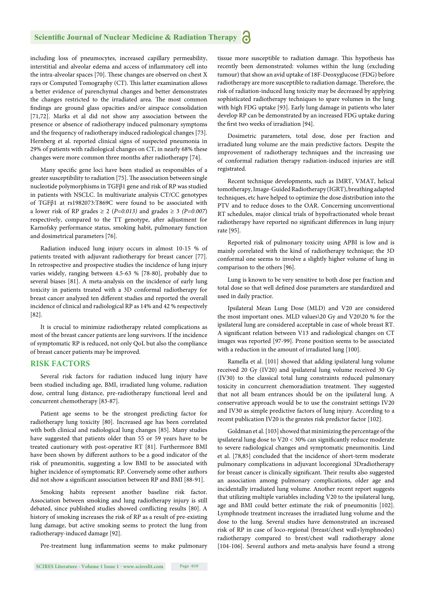including loss of pneumocytes, increased capillary permeability, interstitial and alveolar edema and access of inflammatory cell into the intra-alveolar spaces [70]. These changes are observed on chest  $X$ rays or Computed Tomography (CT). This latter examination allows a better evidence of parenchymal changes and better demonstrates the changes restricted to the irradiated area. The most common fi ndings are ground glass opacities and/or airspace consolidation [71,72]. Marks et al did not show any association between the presence or absence of radiotherapy induced pulmonary symptoms and the frequency of radiotherapy induced radiological changes [73]. Hernberg et al. reported clinical signs of suspected pneumonia in 29% of patients with radiological changes on CT, in nearly 68% these changes were more common three months after radiotherapy [74].

Many specific gene loci have been studied as responsibles of a greater susceptibility to radiation [75]. The association between single nucleotide polymorphisms in TGFβ1 gene and risk of RP was studied in patients with NSCLC. In multivariate analysis CT/CC genotypes of TGFβ1 at rs1982073:T869C were found to be associated with a lower risk of RP grades  $\geq 2$  (*P=0.013*) and grades  $\geq 3$  (*P=0.007*) respectively, compared to the TT genotype, after adjustment for Karnofsky performance status, smoking habit, pulmonary function and dosimetrical parameters [76].

Radiation induced lung injury occurs in almost 10-15 % of patients treated with adjuvant radiotherapy for breast cancer [77]. In retrospective and prospective studies the incidence of lung injury varies widely, ranging between 4.5-63 % [78-80], probably due to several biases [81]. A meta-analysis on the incidence of early lung toxicity in patients treated with a 3D conformal radiotherapy for breast cancer analyzed ten different studies and reported the overall incidence of clinical and radiological RP as 14% and 42 % respectively [82].

It is crucial to minimize radiotherapy related complications as most of the breast cancer patients are long survivors. If the incidence of symptomatic RP is reduced, not only QoL but also the compliance of breast cancer patients may be improved.

# **RISK FACTORS**

Several risk factors for radiation induced lung injury have been studied including age, BMI, irradiated lung volume, radiation dose, central lung distance, pre-radiotherapy functional level and concurrent chemotherapy [83-87].

Patient age seems to be the strongest predicting factor for radiotherapy lung toxicity [80]. Increased age has been correlated with both clinical and radiological lung changes [85]. Many studies have suggested that patients older than 55 or 59 years have to be treated cautionary with post-operative RT [81]. Furthermore BMI have been shown by different authors to be a good indicator of the risk of pneumonitis, suggesting a low BMI to be associated with higher incidence of symptomatic RP. Conversely some other authors did not show a significant association between RP and BMI [88-91].

Smoking habits represent another baseline risk factor. Association between smoking and lung radiotherapy injury is still debated, since published studies showed conflicting results [80]. A history of smoking increases the risk of RP as a result of pre-existing lung damage, but active smoking seems to protect the lung from radiotherapy-induced damage [92].

Pre-treatment lung inflammation seems to make pulmonary

**SCIRES Literature - Volume 1 Issue 1 - www.scireslit.com Page -019**

tissue more susceptible to radiation damage. This hypothesis has recently been demonstrated: volumes within the lung (excluding tumour) that show an avid uptake of 18F-Deoxyglucose (FDG) before radiotherapy are more susceptible to radiation damage. Therefore, the risk of radiation-induced lung toxicity may be decreased by applying sophisticated radiotherapy techniques to spare volumes in the lung with high FDG uptake [93]. Early lung damage in patients who later develop RP can be demonstrated by an increased FDG uptake during the first two weeks of irradiation [94].

Dosimetric parameters, total dose, dose per fraction and irradiated lung volume are the main predictive factors. Despite the improvement of radiotherapy techniques and the increasing use of conformal radiation therapy radiation-induced injuries are still registrated.

Recent technique developments, such as IMRT, VMAT, helical tomotherapy, Image-Guided Radiotherapy (IGRT), breathing adapted techniques, etc have helped to optimize the dose distribution into the PTV and to reduce doses to the OAR. Concerning unconventional RT schedules, major clinical trials of hypofractionated whole breast radiotherapy have reported no significant differences in lung injury rate [95].

Reported risk of pulmonary toxicity using APBI is low and is mainly correlated with the kind of radiotherapy technique; the 3D conformal one seems to involve a slightly higher volume of lung in comparison to the others [96].

Lung is known to be very sensitive to both dose per fraction and total dose so that well defined dose parameters are standardized and used in daily practice.

Ipsilateral Mean Lung Dose (MLD) and V20 are considered the most important ones. MLD values\20 Gy and V20\20 % for the ipsilateral lung are considered acceptable in case of whole breast RT. A significant relation between V13 and radiological changes on CT images was reported [97-99]. Prone position seems to be associated with a reduction in the amount of irradiated lung [100].

Ramella et al. [101] showed that adding ipsilateral lung volume received 20 Gy (IV20) and ipsilateral lung volume received 30 Gy (IV30) to the classical total lung constraints reduced pulmonary toxicity in concurrent chemoradiation treatment. They suggested that not all beam entrances should be on the ipsilateral lung. A conservative approach would be to use the constraint settings IV20 and IV30 as simple predictive factors of lung injury. According to a recent publication IV20 is the greates risk predictor factor [102].

Goldman et al. [103] showed that minimizing the percentage of the ipsilateral lung dose to  $V20 < 30\%$  can significantly reduce moderate to severe radiological changes and symptomatic pneumonitis. Lind et al. [78,85] concluded that the incidence of short-term moderate pulmonary complications in adjuvant locoregional 3Dradiotherapy for breast cancer is clinically significant. Their results also suggested an association among pulmonary complications, older age and incidentally irradiated lung volume. Another recent report suggests that utilizing multiple variables including V20 to the ipsilateral lung, age and BMI could better estimate the risk of pneumonitis [102]. Lymphnode treatment increases the irradiated lung volume and the dose to the lung. Several studies have demonstrated an increased risk of RP in case of loco-regional (breast/chest wall+lymphnodes) radiotherapy compared to brest/chest wall radiotherapy alone [104-106]. Several authors and meta-analysis have found a strong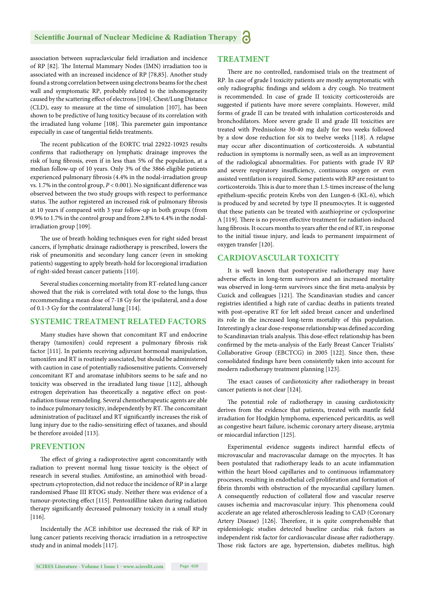association between supraclavicular field irradiation and incidence of RP [82]. The Internal Mammary Nodes (IMN) irradiation too is associated with an increased incidence of RP [78,85]. Another study found a strong correlation between using electrons beams for the chest wall and symptomatic RP, probably related to the inhomogeneity caused by the scattering effect of electrons [104]. Chest/Lung Distance (CLD), easy to measure at the time of simulation [107], has been shown to be predictive of lung toxiticy because of its correlation with the irradiated lung volume [108]. This paremeter gain impontance especially in case of tangential fields treatments.

The recent publication of the EORTC trial 22922-10925 results confirms that radiotherapy on lymphatic drainage improves the risk of lung fibrosis, even if in less than 5% of the population, at a median follow-up of 10 years. Only 3% of the 3866 eligible patients experienced pulmonary fibrosis (4.4% in the nodal-irradiation group vs. 1.7% in the control group,  $P < 0.001$ ). No significant difference was observed between the two study groups with respect to performance status. The author registered an increased risk of pulmonary fibrosis at 10 years if compared with 3 year follow-up in both groups (from 0.9% to 1.7% in the control group and from 2.8% to 4.4% in the nodalirradiation group [109].

The use of breath holding techniques even for right sided breast cancers, if lymphatic drainage radiotherapy is prescribed, lowers the risk of pneumonitis and secondary lung cancer (even in smoking patients) suggesting to apply breath-hold for locoregional irradiation of right-sided breast cancer patients [110].

Several studies concerning mortality from RT-related lung cancer showed that the risk is correlated with total dose to the lungs, thus recommending a mean dose of 7-18 Gy for the ipsilateral, and a dose of 0.1-3 Gy for the contralateral lung [114].

# **SYSTEMIC TREATMENT RELATED FACTORS**

Many studies have shown that concomitant RT and endocrine therapy (tamoxifen) could represent a pulmonary fibrosis risk factor [111]. In patients receiving adjuvant hormonal manipulation, tamoxifen and RT is routinely associated, but should be administered with caution in case of potentially radiosensitive patients. Conversely concomitant RT and aromatase inhibitors seems to be safe and no toxicity was observed in the irradiated lung tissue [112], although estrogen deprivation has theoretically a negative effect on postradiation tissue remodeling. Several chemotherapeutic agents are able to induce pulmonary toxicity, independently by RT. The concomitant administration of paclitaxel and RT significantly increases the risk of lung injury due to the radio-sensitizing effect of taxanes, and should be therefore avoided [113].

#### **PREVENTION**

The effect of giving a radioprotective agent concomitantly with radiation to prevent normal lung tissue toxicity is the object of research in several studies. Amifostine, an aminothiol with broadspectrum cytoprotection, did not reduce the incidence of RP in a large randomised Phase III RTOG study. Neither there was evidence of a tumour-protecting effect [115]. Pentoxifilline taken during radiation therapy significantly decreased pulmonary toxicity in a small study [116].

Incidentally the ACE inhibitor use decreased the risk of RP in lung cancer patients receiving thoracic irradiation in a retrospective study and in animal models [117].

# **TREATMENT**

There are no controlled, randomised trials on the treatment of RP. In case of grade I toxicity patients are mostly asymptomatic with only radiographic findings and seldom a dry cough. No treatment is recommended. In case of grade II toxicity corticosteroids are suggested if patients have more severe complaints. However, mild forms of grade II can be treated with inhalation corticosteroids and bronchodilators. More severe grade II and grade III toxicities are treated with Prednisolone 30-40 mg daily for two weeks followed by a slow dose reduction for six to twelve weeks [118]. A relapse may occur after discontinuation of corticosteroids. A substantial reduction in symptoms is normally seen, as well as an improvement of the radiological abnormalities. For patients with grade IV RP and severe respiratory insufficiency, continuous oxygen or even assisted ventilation is required. Some patients with RP are resistant to corticosteroids. This is due to more than 1.5-times increase of the lung epithelium-specific protein Krebs von den Lungen-6 (KL-6), which is produced by and secreted by type II pneumocytes. It is suggested that these patients can be treated with azathioprine or cyclosporine A [119]. There is no proven effective treatment for radiation-induced lung fibrosis. It occurs months to years after the end of RT, in response to the initial tissue injury, and leads to permanent impairment of oxygen transfer [120].

#### **CARDIOVASCULAR TOXICITY**

It is well known that postoperative radiotherapy may have adverse effects in long-term survivors and an increased mortality was observed in long-term survivors since the first meta-analysis by Cuzick and colleagues [121]. The Scandinavian studies and cancer registries identified a high rate of cardiac deaths in patients treated with post-operative RT for left sided breast cancer and underlined its role in the increased long-term mortality of this population. Interestingly a clear dose-response relationship was defined according to Scandinavian trials analysis. This dose-effect relationship has been confirmed by the meta-analysis of the Early Breast Cancer Trialists' Collaborative Group (EBCTCG) in 2005 [122]. Since then, these consolidated findings have been consistently taken into account for modern radiotherapy treatment planning [123].

The exact causes of cardiotoxicity after radiotherapy in breast cancer patients is not clear [124].

The potential role of radiotherapy in causing cardiotoxicity derives from the evidence that patients, treated with mantle field irradiation for Hodgkin lymphoma, experienced pericarditis, as well as congestive heart failure, ischemic coronary artery disease, arytmia or miocardial infarction [125].

Experimental evidence suggests indirect harmful effects of microvascular and macrovascular damage on the myocytes. It has been postulated that radiotherapy leads to an acute inflammation within the heart blood capillaries and to continuous inflammatory processes, resulting in endothelial cell proliferation and formation of fibrin thrombi with obstruction of the myocardial capillary lumen. A consequently reduction of collateral flow and vascular reserve causes ischemia and macrovascular injury. This phenomena could accelerate an age related atheroschlerosis leading to CAD (Coronary Artery Disease) [126]. Therefore, it is quite comprehensible that epidemiologic studies detected baseline cardiac risk factors as independent risk factor for cardiovascular disease after radiotherapy. Those risk factors are age, hypertension, diabetes mellitus, high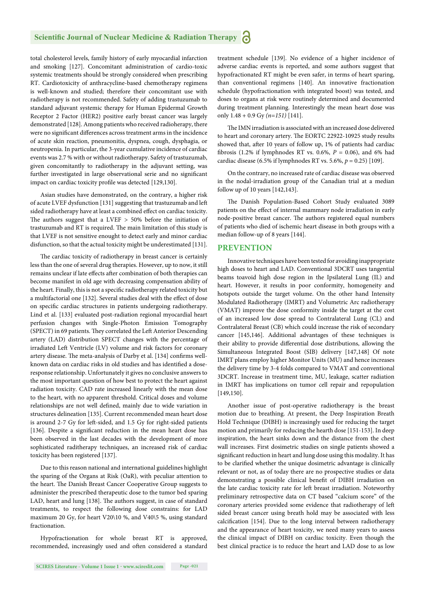total cholesterol levels, family history of early myocardial infarction and smoking [127]. Concomitant administration of cardio-toxic systemic treatments should be strongly considered when prescribing RT. Cardiotoxicity of anthracycline-based chemotherapy regimens is well-known and studied; therefore their concomitant use with radiotherapy is not recommended. Safety of adding trastuzumab to standard adjuvant systemic therapy for Human Epidermal Growth Receptor 2 Factor (HER2) positive early breast cancer was largely demonstrated [128]. Among patients who received radioherapy, there were no significant differences across treatment arms in the incidence of acute skin reaction, pneumonitis, dyspnea, cough, dysphagia, or neutropenia. In particular, the 3-year cumulative incidence of cardiac events was 2.7 % with or without radiotherapy. Safety of trastuzumab, given concomitantly to radiotherapy in the adjuvant setting, was further investigated in large observational serie and no significant impact on cardiac toxicity profile was detected [129,130].

Asian studies have demonstrated, on the contrary, a higher risk of acute LVEF dysfunction [131] suggesting that trastuzumab and left sided radiotherapy have at least a combined effect on cardiac toxicity. The authors suggest that a LVEF  $> 50\%$  before the initiation of trastuzumab and RT is required. The main limitation of this study is that LVEF is not sensitive enought to detect early and minor cardiac disfunction, so that the actual toxicity might be underestimated [131].

The cardiac toxicity of radiotherapy in breast cancer is certainly less than the one of several drug therapies. However, up to now, it still remains unclear if late effects after combination of both therapies can become manifest in old age with decreasing compensation ability of the heart. Finally, this is not a specific radiotherapy related toxicity but a multifactorial one [132]. Several studies deal with the effect of dose on specific cardiac structures in patients undergoing radiotherapy. Lind et al. [133] evaluated post-radiation regional myocardial heart perfusion changes with Single-Photon Emission Tomography (SPECT) in 69 patients. They correlated the Left Anterior Descending artery (LAD) distribution SPECT changes with the percentage of irradiated Left Ventricle (LV) volume and risk factors for coronary artery disease. The meta-analysis of Darby et al. [134] confirms wellknown data on cardiac risks in old studies and has identified a doseresponse relationship. Unfortunately it gives no conclusive answers to the most important question of how best to protect the heart against radiation toxicity. CAD rate increased linearly with the mean dose to the heart, with no apparent threshold. Critical doses and volume relationships are not well defined, mainly due to wide variation in structures delineation [135]. Current recommended mean heart dose is around 2-7 Gy for left -sided, and 1.5 Gy for right-sided patients [136]. Despite a significant reduction in the mean heart dose has been observed in the last decades with the development of more sophisticated raditherapy techniques, an increased risk of cardiac toxicity has been registered [137].

Due to this reason national and international guidelines highlight the sparing of the Organs at Risk (OaR), with peculiar attention to the heart. The Danish Breast Cancer Cooperative Group suggests to administer the prescribed therapeutic dose to the tumor bed sparing LAD, heart and lung [138]. The authors suggest, in case of standard treatments, to respect the following dose constrains: for LAD maximum 20 Gy, for heart V20\10 %, and V40\5 %, using standard fractionation.

Hypofractionation for whole breast RT is approved, recommended, increasingly used and often considered a standard

treatment schedule [139]. No evidence of a higher incidence of adverse cardiac events is reported, and some authors suggest that hypofractionated RT might be even safer, in terms of heart sparing, than conventional regimens [140]. An innovative fractionation schedule (hypofractionation with integrated boost) was tested, and doses to organs at risk were routinely determined and documented during treatment planning. Interestingly the mean heart dose was only 1.48 + 0.9 Gy *(n=151)* [141].

The IMN irradiation is associated with an increased dose delivered to heart and coronary artery. The EORTC 22922-10925 study results showed that, after 10 years of follow up, 1% of patients had cardiac fibrosis (1.2% if lymphnodes RT vs. 0.6%,  $P = 0.06$ ), and 6% had cardiac disease (6.5% if lymphnodes RT vs. 5.6%, *p* = 0.25) [109].

On the contrary, no increased rate of cardiac disease was observed in the nodal-irradiation group of the Canadian trial at a median follow up of 10 years [142,143].

The Danish Population-Based Cohort Study evaluated 3089 patients on the effect of internal mammary node irradiation in early node-positive breast cancer. The authors registered equal numbers of patients who died of ischemic heart disease in both groups with a median follow-up of 8 years [144].

#### **PREVENTION**

Innovative techniques have been tested for avoiding inappropriate high doses to heart and LAD. Conventional 3DCRT uses tangential beams toavoid high dose region in the Ipsilateral Lung (IL) and heart. However, it results in poor conformity, homogeneity and hotspots outside the target volume. On the other hand Intensity Modulated Radiotherapy (IMRT) and Volumetric Arc radiotherapy (VMAT) improve the dose conformity inside the target at the cost of an increased low dose spread to Contralateral Lung (CL) and Contralateral Breast (CB) which could increase the risk of secondary cancer [145,146]. Additional advantages of these techniques is their ability to provide differential dose distributions, allowing the Simultaneous Integrated Boost (SIB) delivery [147,148] Of note IMRT plans employ higher Monitor Units (MU) and hence increases the delivery time by 3-4 folds compared to VMAT and conventional 3DCRT. Increase in treatment time, MU, leakage, scatter radiation in IMRT has implications on tumor cell repair and repopulation [149,150].

Another issue of post-operative radiotherapy is the breast motion due to breathing. At present, the Deep Inspiration Breath Hold Technique (DIBH) is increasingly used for reducing the target motion and primarily for reducing the hearth dose [151-153]. In deep inspiration, the heart sinks down and the distance from the chest wall increases. First dosimetric studies on single patients showed a significant reduction in heart and lung dose using this modality. It has to be clarified whether the unique dosimetric advantage is clinically relevant or not, as of today there are no prospective studies or data demonstrating a possible clinical benefit of DIBH irradiation on the late cardiac toxicity rate for left breast irradiation. Noteworthy preliminary retrospective data on CT based "calcium score" of the coronary arteries provided some evidence that radiotherapy of left sided breast cancer using breath hold may be associated with less calcification [154]. Due to the long interval between radiotherapy and the appearance of heart toxicity, we need many years to assess the clinical impact of DIBH on cardiac toxicity. Even though the best clinical practice is to reduce the heart and LAD dose to as low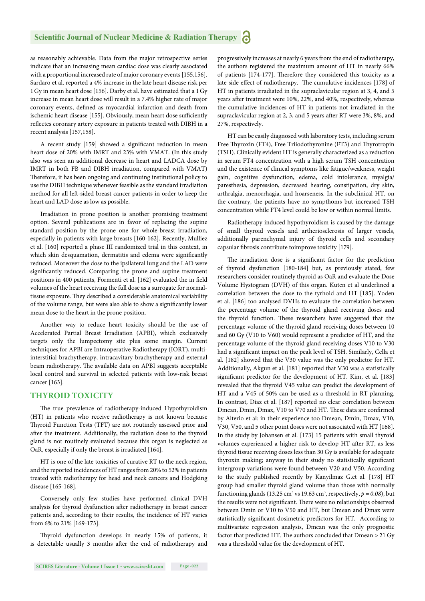as reasonably achievable. Data from the major retrospective series indicate that an increasing mean cardiac dose was clearly associated with a proportional increased rate of major coronary events [155,156]. Sardaro et al. reported a 4% increase in the late heart disease risk per 1 Gy in mean heart dose [156]. Darby et al. have estimated that a 1 Gy increase in mean heart dose will result in a 7.4% higher rate of major coronary events, defined as myocardial infarction and death from ischemic heart disease [155]. Obviously, mean heart dose sufficiently reflectes coronary artery exposure in patients treated with DIBH in a recent analysis [157,158].

A recent study [159] showed a significant reduction in mean heart dose of 20% with IMRT and 23% with VMAT. (In this study also was seen an additional decrease in heart and LADCA dose by IMRT in both FB and DIBH irradiation, compared with VMAT) Therefore, it has been ongoing and continuing institutional policy to use the DIBH technique whenever feasible as the standard irradiation method for all left -sided breast cancer patients in order to keep the heart and LAD dose as low as possible.

Irradiation in prone position is another promising treatment option. Several publications are in favor of replacing the supine standard position by the prone one for whole-breast irradiation, especially in patients with large breasts [160-162]. Recently, Mulliez et al. [160] reported a phase III randomized trial in this context, in which skin desquamation, dermatitis and edema were significantly reduced. Moreover the dose to the ipsilateral lung and the LAD were significantly reduced. Comparing the prone and supine treatment positions in 400 patients, Formenti et al. [162] evaluated the in field volumes of the heart receiving the full dose as a surrogate for normaltissue exposure. They described a considerable anatomical variability of the volume range, but were also able to show a significantly lower mean dose to the heart in the prone position.

Another way to reduce heart toxicity should be the use of Accelerated Partial Breast Irradiation (APBI), which exclusively targets only the lumpectomy site plus some margin. Current techniques for APBI are Intraoperative Radiotherapy (IORT), multiinterstitial brachytherapy, intracavitary brachytherapy and external beam radiotherapy. The available data on APBI suggests acceptable local control and survival in selected patients with low-risk breast cancer [163].

# **THYROID TOXICITY**

The true prevalence of radiotherapy-induced Hypothyroidism (HT) in patients who receive radiotherapy is not known because Thyroid Function Tests (TFT) are not routinely assessed prior and after the treatment. Additionally, the radiation dose to the thyroid gland is not routinely evaluated because this organ is neglected as OaR, especially if only the breast is irradiated [164].

HT is one of the late toxicities of curative RT to the neck region, and the reported incidences of HT ranges from 20% to 52% in patients treated with radiotherapy for head and neck cancers and Hodgking disease [165-168].

Conversely only few studies have performed clinical DVH analysis for thyroid dysfunction after radiotherapy in breast cancer patients and, according to their results, the incidence of HT varies from 6% to 21% [169-173].

Thyroid dysfunction develops in nearly 15% of patients, it is detectable usually 3 months after the end of radiotherapy and progressively increases at nearly 6 years from the end of radiotherapy, the authors registered the maximum amount of HT in nearly 66% of patients [174-177]. Therefore they considered this toxicity as a late side effect of radiotherapy. The cumulative incidences [178] of HT in patients irradiated in the supraclavicular region at 3, 4, and 5 years after treatment were 10%, 22%, and 40%, respectively, whereas the cumulative incidences of HT in patients not irradiated in the supraclavicular region at 2, 3, and 5 years after RT were 3%, 8%, and 27%, respectively.

HT can be easily diagnosed with laboratory tests, including serum Free Thyroxin (FT4), Free Triiodothyronine (FT3) and Thyrotropin (TSH). Clinically evident HT is generally characterized as a reduction in serum FT4 concentration with a high serum TSH concentration and the existence of clinical symptoms like fatigue/weakness, weight gain, cognitive dysfunction, edema, cold intolerance, myalgia/ paresthesia, depression, decreased hearing, constipation, dry skin, arthralgia, menorrhagia, and hoarseness. In the subclinical HT, on the contrary, the patients have no sympthoms but increased TSH concentration while FT4 level could be low or within normal limits.

Radiotherapy induced hypothyroidism is caused by the damage of small thyroid vessels and artheriosclerosis of larger vessels, additionally parenchymal injury of thyroid cells and secondary capsular fibrosis contribute toimprove toxicity [179].

The irradiation dose is a significant factor for the prediction of thyroid dysfunction [180-184] but, as previously stated, few researchers consider routinely thyroid as OaR and evaluate the Dose Volume Hystogram (DVH) of this organ. Kuten et al underlined a correlation between the dose to the tyrhoid and HT [185]. Yoden et al. [186] too analysed DVHs to evaluate the correlation between the percentage volume of the thyroid gland receiving doses and the thyroid function. These researchers have suggested that the percentage volume of the thyroid gland receiving doses between 10 and 60 Gy (V10 to V60) would represent a predictor of HT, and the percentage volume of the thyroid gland receiving doses V10 to V30 had a significant impact on the peak level of TSH. Similarly, Cella et al. [182] showed that the V30 value was the only predictor for HT. Additionally, Akgun et al. [181] reported that V30 was a statistically significant predictor for the development of HT. Kim, et al. [183] revealed that the thyroid V45 value can predict the development of HT and a V45 of 50% can be used as a threshold in RT planning. In contrast, Diaz et al. [187] reported no clear correlation between Dmean, Dmin, Dmax, V10 to V70 and HT. These data are confirmed by Alterio et al: in their experience too Dmean, Dmin, Dmax, V10, V30, V50, and 5 other point doses were not associated with HT [168]. In the study by Johansen et al. [173] 15 patients with small thyroid volumes experienced a higher risk to develop HT after RT, as less thyroid tissue receiving doses less than 30 Gy is available for adequate thyroxin making; anyway in their study no statistically significant intergroup variations were found between V20 and V50. According to the study published recently by Kanyilmaz G.et al. [178] HT group had smaller thyroid gland volume than those with normally functioning glands (13.25 cm<sup>3</sup> vs 19.63 cm<sup>3</sup>, respectively,  $p = 0.08$ ), but the results were not significant. There were no relationships observed between Dmin or V10 to V50 and HT, but Dmean and Dmax were statistically significant dosimetric predictors for HT. According to multivariate regression analysis, Dmean was the only prognostic factor that predicted HT. The authors concluded that  $Dmean > 21$  Gy was a threshold value for the development of HT.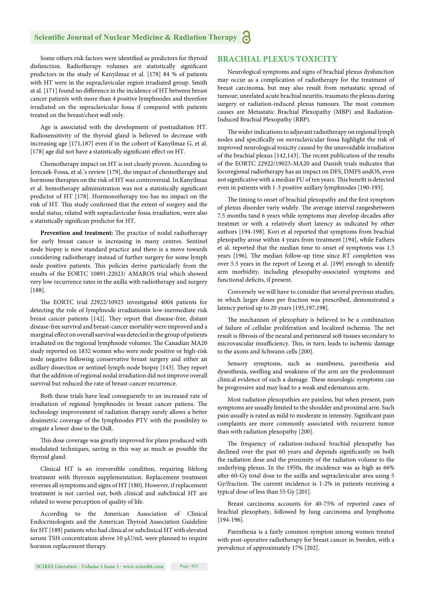Some others risk factors were identified as predictors for thyroid disfunction. Radiotherapy volumes are statistically significant predictors in the study of Kanyilmaz et al. [178] 84 % of patients with HT were in the supraclavicular region irradiated group. Smith at al. [171] found no difference in the incidence of HT between breast cancer patients with more than 4 positive lymphnodes and therefore irradiated on the supraclavicular fossa if compared with patients treated on the breast/chest wall only.

Age is associated with the development of postradiation HT. Radiosensitivity of the thyroid gland is believed to decrease with increasing age [171,187] even if in the cohort of Kanyilmaz G, et al. [178] age did not have a statistically significant effect on HT.

Chemotherapy impact on HT is not clearly proven. According to Jereczek-Fossa, et al.'s review [179], the impact of chemotherapy and hormone therapies on the risk of HT was controversial. In Kanyilmaz et al. hemotherapy administration was not a statistically significant predictor of HT [178]. Hormonotherapy too has no impact on the risk of HT. This study confirmed that the extent of surgery and the nodal status, related with supraclavicular fossa irradiation, were also a statistically significan predictor for HT.

Prevention and treatment: The practice of nodal radiotherapy for early breast cancer is increasing in many centres. Sentinel node biopsy is now standard practice and there is a move towards considering radiotherapy instead of further surgery for some lymph node positive patients. This policies derive particularly from the results of the EORTC 10891-22023/ AMAROS trial which showed very low recurrence rates in the axilla with radiotherapy and surgery [188].

The EORTC trial 22922/10925 investigated 4004 patients for detecting the role of lymphnode irradiationin low-inermediate risk breast cancer patients [142]. They report that disease-free, distant disease-free survival and breast-cancer mortality were improved and a marginal effect on overall survival was detected in the group of patients irradiated on the regional lymphnode volumes. The Canadian MA20 study reported on 1832 women who were node positive or high-risk node negative following conservative breast surgery and either an axillary dissection or sentinel-lymph-node biopsy [143]. They report that the addition of regional nodal irradiation did not improve overall survival but reduced the rate of breast-cancer recurrence.

Both these trials have lead conseguently to an increased rate of irradiation of regional lymphnodes in breast cancer patiens. The technology improvement of radiation therapy surely allows a better dosimetric coverage of the lymphnodes PTV with the possibility to erogate a lower dose to the OaR.

This dose coverage was greatly improved for plans produced with modulated techniques, saving in this way as much as possible the thyroid gland.

Clinical HT is an irreversible condition, requiring lifelong treatment with thyroxin supplementation. Replacement treatment reverses all symptoms and signs of HT [180]. However, if replacement treatment is not carried out, both clinical and subclinical HT are related to worse perception of quality of life.

According to the American Association of Clinical Endocrinologists and the American Thyroid Association Guideline for HT [189] patients who had clinical or subclinical HT with elevated serum TSH concentration above 10 μU/mL were planned to require hormon replacement therapy.

# **BRACHIAL PLEXUS TOXICITY**

Neurological symptoms and signs of brachial plexus dysfunction may occur as a complication of radiotherapy for the treatment of breast carcinoma, but may also result from metastatic spread of tumour, unrelated acute brachial neuritis, traumato the plexus during surgery or radiation-induced plexus tumours. The most common causes are Metastatic Brachial Plexopathy (MBP) and Radiation-Induced Brachial Plexopathy (RBP).

The wider indications to adjuvant radiotherapy on regional lymph nodes and specifically on suvraclavicular fossa highlight the risk of improved neurological toxicity caused by the unavoidable irradiation of the brachial plexus [142,143]. The recent publication of the results of the EORTC 22922/19025-MA20 and Danish trials indicates that locoregional radiotherapy has an impact on DFS, DMFS andOS, even not significative with a median FU of ten years. This benefit is detected even in patients with 1-3 positive axillary lymphnodes [190-193].

The timing to onset of brachial plexopathy and the first symptom of plexus disorder variy widely. The average interval rangesbetween 7.5 months tand 6 years while symptoms may develop decades after treatmet or with a relatively short latency as indicated by other authors [194-198]. Kori et al reported that symptoms from brachial plexopathy arose within 4 years from treatment [194], while Fathers et al. reported that the median time to onset of symptoms was 1.5 years [196]. The median follow-up time since RT completion was over 5.5 years in the report of Leong et al. [199] enough to identify arm morbidity, including plexopathy-associated symptoms and functional deficits, if present.

Conversely we will have to consider that several previous studies, in which larger doses per fraction was prescribed, demonstrated a latency period up to 20 years [195,197,198].

The mechanism of plexophaty is believed to be a combination of failure of cellular proliferation and localized ischemia. The net result is fibrosis of the neural and perineural soft tissues secondary to microvascular insufficiency. This, in turn, leads to ischemic damage to the axons and Schwann cells [200].

Sensory symptoms, such as numbness, paresthesia and dysesthesia, swelling and weakness of the arm are the predominant clinical evidence of such a damage. These neurologic symptoms can be progressive and may lead to a weak and edematous arm.

Most radiation plexopathies are painless, but when present, pain symptoms are usually limited to the shoulder and proximal arm. Such pain usually is rated as mild to moderate in intensity. Significant pain complaints are more commonly associated with recurrent tumor than with radiation plexopathy [200].

The frequency of radiation-induced brachial plexopathy has declined over the past 60 years and depends significantly on both the radiation dose and the proximity of the radiation volume to the underlying plexus. In the 1950s, the incidence was as high as 66% after 60-Gy total dose to the axilla and supraclavicular area using 5 Gy/fraction. The current incidence is 1-2% in patients receiving a typical dose of less than 55 Gy [201].

Breast carcinoma accounts for 40-75% of reported cases of brachial plexophaty, followed by lung carcinoma and lymphoma [194-196].

Paresthesia is a fairly common sympton among women treated with post-operative radiotherapy for breast cancer in Sweden, with a prevalence of approximately 17% [202].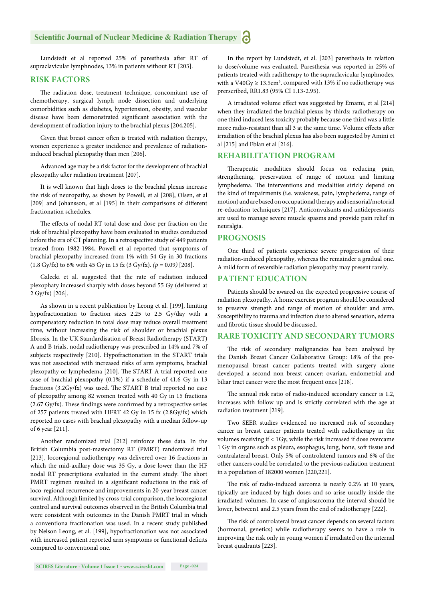Lundstedt et al reported 25% of paresthesia after RT of supraclavicular lymphnodes, 13% in patients without RT [203].

#### **RISK FACTORS**

The radiation dose, treatment technique, concomitant use of chemotherapy, surgical lymph node dissection and underlying comorbidities such as diabetes, hypertension, obesity, and vascular disease have been demonstrated significant association with the development of radiation injury to the brachial plexus [204,205].

Given that breast cancer often is treated with radiation therapy, women experience a greater incidence and prevalence of radiationinduced brachial plexopathy than men [206].

Advanced age may be a risk factor for the development of brachial plexopathy after radiation treatment [207].

It is well known that high doses to the brachial plexus increase the risk of neuropathy, as shown by Powell, et al [208], Olsen, et al [209] and Johansson, et al [195] in their comparisons of different fractionation schedules.

The effects of nodal RT total dose and dose per fraction on the risk of brachial plexopathy have been evaluated in studies conducted before the era of CT planning. In a retrospective study of 449 patients treated from 1982-1984, Powell et al reported that symptoms of brachial plexopathy increased from 1% with 54 Gy in 30 fractions (1.8 Gy/fx) to 6% with 45 Gy in 15 fx (3 Gy/fx). *(p* = 0.09*)* [208].

Galecki et al. suggested that the rate of radiation induced plexophaty increased sharply with doses beyond 55 Gy (delivered at 2 Gy/fx) [206].

As shown in a recent publication by Leong et al. [199], limiting hypofractionation to fraction sizes 2.25 to 2.5 Gy/day with a compensatory reduction in total dose may reduce overall treatment time, without increasing the risk of shoulder or brachial plexus fibrosis. In the UK Standardisation of Breast Radiotherapy (START) A and B trials, nodal radiotherapy was prescribed in 14% and 7% of subjects respectively [210]. Hypofractionation in the START trials was not associated with increased risks of arm symptoms, brachial plexopathy or lymphedema [210]. The START A trial reported one case of brachial plexopathy (0.1%) if a schedule of 41.6 Gy in 13 fractions  $(3.2Gy/fx)$  was used. The START B trial reported no case of plexopathy among 82 women treated with 40 Gy in 15 fractions  $(2.67 \text{ Gy/fx})$ . These findings were confirmed by a retrospective series of 257 patients treated with HFRT 42 Gy in 15 fx (2.8Gy/fx) which reported no cases with brachial plexopathy with a median follow-up of 6 year [211].

Another randomized trial [212] reinforce these data. In the British Columbia post-mastectomy RT (PMRT) randomized trial [213], locoregional radiotherapy was delivered over 16 fractions in which the mid-axillary dose was 35 Gy, a dose lower than the HF nodal RT prescriptions evaluated in the current study. The short PMRT regimen resulted in a significant reductions in the risk of loco-regional recurrence and improvements in 20-year breast cancer survival. Although limited by cross-trial comparison, the locoregional control and survival outcomes observed in the British Columbia trial were consistent with outcomes in the Danish PMRT trial in which a conventiona fractionation was used. In a recent study published by Nelson Leong, et al. [199], hypofractionation was not associated with increased patient reported arm symptoms or functional deficits compared to conventional one.

In the report by Lundstedt, et al. [203] paresthesia in relation to dose/volume was evaluated. Paresthesia was reported in 25% of patients treated with raditherapy to the supraclavicular lymphnodes, with a  $V40Gy \ge 13.5cm^3$ , compared with 13% if no radiotherapy was prerscribed, RR1.83 (95% CI 1.13-2.95).

A irradiated volume effect was suggested by Emami, et al [214] when they irradiated the brachial plexus by thirds: radiotherapy on one third induced less toxicity probably because one third was a little more radio-resistant than all 3 at the same time. Volume effects after irradiation of the brachial plexus has also been suggested by Amini et al [215] and Eblan et al [216].

# **REHABILITATION PROGRAM**

Therapeutic modalities should focus on reducing pain, strengthening, preservation of range of motion and limiting lymphedema. The interventions and modalities stricly depend on the kind of impairments (i.e. weakness, pain, lymphedema, range of motion) and are based on occupational therapy and sensorial/motorial re-education techniques [217]. Anticonvulsants and antidepressants are used to manage severe muscle spasms and provide pain relief in neuralgia.

#### **PROGNOSIS**

One third of patients experience severe progression of their radiation-induced plexopathy, whereas the remainder a gradual one. A mild form of reversible radiation plexopathy may present rarely.

# **PATIENT EDUCATION**

Patients should be awared on the expected progressive course of radiation plexopathy. A home exercise program should be considered to preserve strength and range of motion of shoulder and arm. Susceptibility to trauma and infection due to altered sensation, edema and fibrotic tissue should be discussed.

#### **RARE TOXICITY AND SECONDARY TUMORS**

The risk of secondary malignancies has been analysed by the Danish Breast Cancer Collaborative Group: 18% of the premenopausal breast cancer patients treated with surgery alone developed a second non breast cancer: ovarian, endometrial and biliar tract cancer were the most frequent ones [218].

The annual risk ratio of radio-induced secondary cancer is 1.2, increases with follow up and is strictly correlated with the age at radiation treatment [219].

Two SEER studies evidenced no increased risk of secondary cancer in breast cancer patients treated with radiotherapy in the volumes receiving if < 1Gy, while the risk increased if dose overcame 1 Gy in organs such as pleura, esophagus, lung, bone, soft tissue and contralateral breast. Only 5% of controlateral tumors and 6% of the other cancers could be correlated to the previous radiation treatment in a population of 182000 women [220,221].

The risk of radio-induced sarcoma is nearly 0.2% at 10 years, tipically are induced by high doses and so arise usually inside the irradiated volumes. In case of angiosarcoma the interval should be lower, between1 and 2.5 years from the end of radiotherapy [222].

The risk of controlateral breast cancer depends on several factors (hormonal, genetics) while radiotherapy seems to have a role in improving the risk only in young women if irradiated on the internal breast quadrants [223].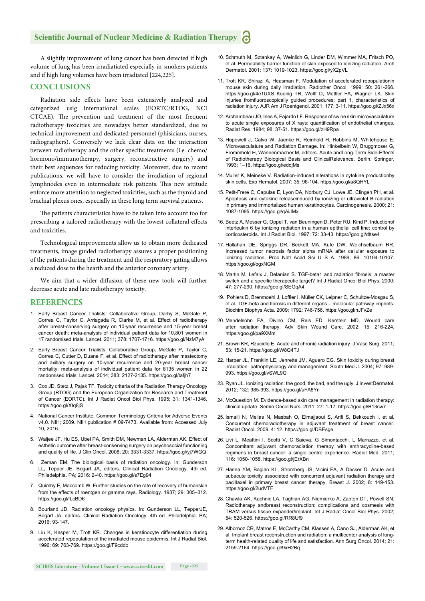# **Scientific Journal of Nuclear Medicine & Radiation Therapy**

A slightly improvement of lung cancer has been detected if high volume of lung has been irradiatiated especially in smokers patients and if high lung volumes have been irradiated [224,225].

# **CONCLUSIONS**

Radiation side effects have been extensively analyzed and categorized usig international scales (EORTC/RTOG, NCI CTCAE). The prevention and treatment of the most frequent radiotherapy toxicities are nowadays better standardized, due to technical improvement and dedicated personnel (phisicians, nurses, radiographers). Conversely we lack clear data on the interaction between radiotherapy and the other specific treatments (i.e. chemo/ hormono/immunotherapy, surgery, reconstructive surgery) and their best sequences for reducing toxicity. Moreover, due to recent publications, we will have to consider the irradiation of regional lymphnodes even in intermediate risk patients. This new attitude enforce more attention to neglected toxicities, such as the thyroid and brachial plexus ones, especially in these long term survival patients.

The patients characteristics have to be taken into account too for prescribing a tailored radiotherapy with the lowest collateral effects and toxicities.

Technological improvements allow us to obtain more dedicated treatments, image guided radiotherapy assures a proper positioning of the patients during the treatment and the respiratory gating allows a reduced dose to the hearth and the anterior coronary artery.

We aim that a wider diffusion of these new tools will further decrease acute and late radiotherapy toxicity.

#### **REFERENCES**

- 1. Early Breast Cancer Trialists' Collaborative Group, Darby S, McGale P, Correa C, Taylor C, Arriagada R, Clarke M, et al. Effect of radiotherapy after breast-conserving surgery on 10-year recurrence and 15-year breast cancer death: meta-analysis of individual patient data for 10,801 women in 17 randomised trials. Lancet. 2011; 378: 1707-1716. https://goo.gl/NzM7yA
- 2. Early Breast Cancer Trialists' Collaborative Group, McGale P, Taylor C, Correa C, Cutter D, Duane F, et al. Effect of radiotherapy after mastectomy and axillary surgery on 10-year recurrence and 20-year breast cancer mortality: meta-analysis of individual patient data for 8135 women in 22 randomised trials. Lancet. 2014; 383: 2127-2135. https://goo.gl/tafjh7
- 3. Cox JD, Stetz J, Pajak TF. Toxicity criteria of the Radiation Therapy Oncology Group (RTOG) and the European Organization for Research and Treatment of Cancer (EORTC). Int J Radiat Oncol Biol Phys. 1995; 31: 1341-1346. https://goo.gl/Xtq8jS
- 4. National Cancer Institute. Common Terminology Criteria for Adverse Events v4.0. NIH; 2009. NIH publication # 09-7473. Available from: Accessed July 10, 2016.
- 5. Waljee JF, Hu ES, Ubel PA, Smith DM, Newman LA, Alderman AK. Effect of esthetic outcome after breast-conserving surgery on psychosocial functioning and quality of life. J Clin Oncol. 2008; 20: 3331-3337. https://goo.gl/yj7WGQ
- Zeman EM. The biological basis of radiation oncology. In: Gunderson LL, Tepper JE, Bogart JA, editors. Clinical Radiation Oncology. 4th ed. Philadelphia. PA; 2016: 2-40. https://goo.gl/s7Eg94
- 7. Quimby E, Maccomb W. Further studies on the rate of recovery of humanskin from the effects of roentgen or gamma rays. Radiology. 1937; 29: 305–312. https://goo.gl/fLcBD6
- 8. Bourland JD. Radiation oncology physics. In: Gunderson LL, TepperJE, Bogart JA, editors. Clinical Radiation Oncology. 4th ed. Philadelphia. PA; 2016: 93-147.
- 9. Liu K, Kasper M, Trott KR. Changes in keratinocyte differentiation during accelerated repopulation of the irradiated mouse epidermis. Int J Radiat Biol. 1996; 69: 763-769. https://goo.gl/F9cddo
- 10. Schmuth M, Sztankay A, Weinlich G, Linder DM, Wimmer MA, Fritsch PO, et al. Permeability barrier function of skin exposed to ionizing radiation. Arch Dermatol. 2001; 137: 1019-1023. https://goo.gl/yX2pVL
- 11. Trott KR, Shirazi A, Heasman F. Modulation of accelerated repopulationin mouse skin during daily irradiation. Radiother Oncol. 1999; 50: 261-266. https://goo.gl/4e1UXS Koenig TR, Wolff D, Mettler FA, Wagner LK. Skin injuries fromfluoroscopically guided procedures: part 1, characteristics of radiation injury. AJR Am J Roentgenol. 2001; 177: 3-11. https://goo.gl/ZJx56x
- 12. Archambeau JO, Ines A, Fajardo LF. Response of swine skin microvasculature to acute single exposures of X rays: quantification of endothelial changes. Radiat Res. 1984; 98: 37-51. https://goo.gl/zH9Rpa
- 13. Hopewell J, Calvo W, Jaenke R, Reinhold H, Robbins M, Whitehouse E. Microvasculature and Radiation Damage. In: Hinkelbein W, Bruggmoser G, Frommhold H, Wannenmacher M, editors. Acute andLong-Term Side-Effects of Radiotherapy Biological Basis and ClinicalRelevance. Berlin. Springer. 1993; 1–16. https://goo.gl/eddjMs
- 14. Muller K, Meineke V. Radiation-induced alterations in cytokine productionby skin cells. Exp Hematol. 2007; 35: 96-104. https://goo.gl/a8QHYL
- 15. Petit-Frere C, Capulas E, Lyon DA, Norbury CJ, Lowe JE, Clingen PH, et al. Apoptosis and cytokine releaseinduced by ionizing or ultraviolet B radiation in primary and immortalized human keratinocytes. Carcinogenesis. 2000; 21: 1087-1095. https://goo.gl/qAiJMx
- 16. Beetz A, Messer G, Oppel T, van Beuningen D, Peter RU, Kind P. Inductionof interleukin 6 by ionizing radiation in a human epithelial cell line: control by corticosteroids. Int J Radiat Biol. 1997; 72: 33-43. https://goo.gl/dttse4
- 17. Hallahan DE, Spriggs DR, Beckett MA, Kufe DW, Weichselbaum RR. Increased tumor necrosis factor alpha mRNA after cellular exposure to ionizing radiation. Proc Natl Acad Sci U S A. 1989; 86: 10104-10107. https://goo.gl/ogxNGM
- 18. Martin M, Lefaix J, Delanian S. TGF-beta1 and radiation fibrosis: a master switch and a specific therapeutic target? Int J Radiat Oncol Biol Phys. 2000; 47: 277-290. https://goo.gl/SEGqA4
- 19. Pohlers D, Brenmoehl J, Loffler I, Müller CK, Leipner C, Schultze-Mosgau S, et al. TGF-beta and fibrosis in different organs - molecular pathway imprints. Biochim Biophys Acta. 2009; 1792: 746-756. https://goo.gl/nJFvZe
- 20. Mendelsohn FA, Divino CM, Reis ED, Kerstein MD. Wound care after radiation therapy. Adv Skin Wound Care. 2002; 15: 216-224. https://goo.gl/pa9XMm
- 21. Brown KR, Rzucidlo E. Acute and chronic radiation injury. J Vasc Surg. 2011; 53: 15-21. https://goo.gl/W8Q4TJ
- 22. Harper JL, Franklin LE, Jenrette JM, Aguero EG. Skin toxicity during breast irradiation: pathophysiology and management. South Med J. 2004; 97: 989- 993. https://goo.gl/vSWL9G
- 23. Ryan JL. Ionizing radiation: the good, the bad, and the ugly. J InvestDermatol. 2012; 132: 985-993. https://goo.gl/uFA8Yn
- 24. McQuestion M. Evidence-based skin care management in radiation therapy: clinical update. Semin Oncol Nurs. 2011; 27: 1-17. https://goo.gl/B13cw7
- 25. Ismaili N, Mellas N, Masbah O, Elmajjaoui S, Arifi S, Bekkouch I, et al. Concurrent chemoradiotherapy in adjuvant treatment of breast cancer. Radiat Oncol. 2009; 4: 12. https://goo.gl/DBEsge
- 26. Livi L, Meattini I, Scotti V, C Saieva, G Simontacchi, L Marrazzo, et al. Concomitant adjuvant chemoradiation therapy with anthracycline-based regimens in breast cancer: a single centre experience. Radiol Med. 2011; 116: 1050-1058. https://goo.gl/jErXBn
- 27. Hanna YM, Baglan KL, Stromberg JS, Vicini FA, A Decker D. Acute and subacute toxicity associated with concurrent adjuvant radiation therapy and paclitaxel in primary breast cancer therapy. Breast J. 2002; 8: 149-153. https://goo.gl/2udVTF
- 28. Chawla AK, Kachnic LA, Taghian AG, Niemierko A, Zapton DT, Powell SN. Radiotherapy andbreast reconstruction: complications and cosmesis with TRAM versus tissue expander/implant. Int J Radiat Oncol Biol Phys. 2002; 54: 520-526. https://goo.gl/RR8Uf9
- 29. Albornoz CR, Matros E, McCarthy CM, Klassen A, Cano SJ, Alderman AK, et al. Implant breast reconstruction and radiation: a multicenter analysis of longterm health-related quality of life and satisfaction. Ann Surg Oncol. 2014; 21: 2159-2164. https://goo.gl/9xH2Bq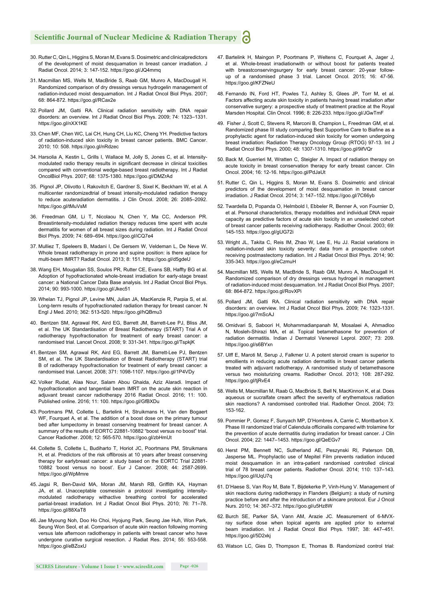- 30. Rutter C, Qin L, Higgins S, Moran M, Evans S. Dosimetric and clinicalpredictors of the development of moist desquamation in breast cancer irradiation. J Radiat Oncol. 2014; 3: 147-152. https://goo.gl/JQ4mmq
- 31. Macmillan MS, Wells M, MacBride S, Raab GM, Munro A, MacDougall H. Randomized comparison of dry dressings versus hydrogelin management of radiation-induced moist desquamation. Int J Radiat Oncol Biol Phys. 2007; 68: 864-872. https://goo.gl/RCax2e
- 32. Pollard JM, Gatti RA. Clinical radiation sensitivity with DNA repair disorders: an overview. Int J Radiat Oncol Biol Phys. 2009; 74: 1323–1331. https://goo.gl/nXX1KE
- 33. Chen MF, Chen WC, Lai CH, Hung CH, Liu KC, Cheng YH. Predictive factors of radiation-induced skin toxicity in breast cancer patients. BMC Cancer. 2010; 10: 508. https://goo.gl/nRdzec
- 34. Harsolia A, Kestin L, Grills I, Wallace M, Jolly S, Jones C, et al. Intensitymodulated radio therapy results in significant decrease in clinical toxicities compared with conventional wedge-based breast radiotherapy. Int J Radiat OncolBiol Phys. 2007; 68: 1375-1380. https://goo.gl/DMZrAd
- 35. Pignol JP, Olivotto I, Rakovitch E, Gardner S, Sixel K, Beckham W, et al. A multicenter randomizedtrial of breast intensity-modulated radiation therapy to reduce acuteradiation dermatitis. J Clin Oncol. 2008; 26: 2085–2092. https://goo.gl/tMuVsM
- 36. Freedman GM, Li T, Nicolaou N, Chen Y, Ma CC, Anderson PR. Breastintensity-modulated radiation therapy reduces time spent with acute dermatitis for women of all breast sizes during radiation. Int J Radiat Oncol Biol Phys. 2009; 74: 689–694. https://goo.gl/iCQ7e4
- 37. Mulliez T, Speleers B, Madani I, De Gersem W, Veldeman L, De Neve W. Whole breast radiotherapy in prone and supine position: is there aplace for multi-beam IMRT? Radiat Oncol. 2013; 8: 151. https://goo.gl/d5gdeU
- 38. Wang EH, Mougalian SS, Soulos PR, Rutter CE, Evans SB, Haffty BG et al. Adoption of hypofractionated whole-breast irradiation for early-stage breast cancer: a National Cancer Data Base analysis. Int J Radiat Oncol Biol Phys. 2014; 90: 993-1000. https://goo.gl/Jkec51
- 39. Whelan TJ, Pignol JP, Levine MN, Julian JA, MacKenzie R, Parpia S, et al. Long-term results of hypofractionated radiation therapy for breast cancer. N Engl J Med. 2010; 362: 513-520. https://goo.gl/hQBmu3
- 40. Bentzen SM, Agrawal RK, Aird EG, Barrett JM, Barrett-Lee PJ, Bliss JM, et al. The UK Standardisation of Breast Radiotherapy (START) Trial A of radiotherapy hypofractionation for treatment of early breast cancer: a randomised trial. Lancet Oncol. 2008; 9: 331-341. https://goo.gl/TspkjK
- 41. Bentzen SM, Agrawal RK, Aird EG, Barrett JM, Barrett-Lee PJ, Bentzen SM, et al. The UK Standardisation of Breast Radiotherapy (START) trial B of radiotherapy hypofractionation for treatment of early breast cancer: a randomised trial. Lancet. 2008; 371: 1098-1107. https://goo.gl/1P4VDy
- 42. Volker Rudat, Alaa Nour, Salam Abou Ghaida, Aziz Alaradi. Impact of hypofractionation and tangential beam IMRT on the acute skin reaction in adjuvant breast cancer radiotherapy 2016 Radiat Oncol. 2016; 11: 100. Published online. 2016; 11: 100. https://goo.gl/GfBXDu
- 43. Poortmans PM, Collette L, Bartelink H, Struikmans H, Van den Bogaert WF, Fourquet A, et al. The addition of a boost dose on the primary tumour bed after lumpectomy in breast conserving treatment for breast cancer. A summary of the results of EORTC 22881-10882 "boost versus no boost" trial. Cancer Radiother. 2008; 12: 565-570. https://goo.gl/zbHmUt
- 44. Collette S, Collette L, Budiharto T, Horiot JC, Poortmans PM, Struikmans H, et al. Predictors of the risk offibrosis at 10 years after breast conserving therapy for earlybreast cancer: a study based on the EORTC Trial 22881- 10882 'boost versus no boost'. Eur J Cancer. 2008; 44: 2587-2699. https://goo.gl/WpMmre
- 45. Jagsi R, Ben-David MA, Moran JM, Marsh RB, Griffith KA, Hayman JA, et al. Unacceptable cosmesisin a protocol investigating intensitymodulated radiotherapy withactive breathing control for accelerated partial-breast irradiation. Int J Radiat Oncol Biol Phys. 2010; 76: 71–78. https://goo.gl/88XaT8
- 46. Jae Myoung Noh, Doo Ho Choi, Hyojung Park, Seung Jae Huh, Won Park, Seung Won Seol, et al. Comparison of acute skin reaction following morning versus late afternoon radiotherapy in patients with breast cancer who have undergone curative surgical resection. J Radiat Res. 2014; 55: 553-558. https://goo.gl/eBZoxU
- 47. Bartelink H, Maingon P, Poortmans P, Weltens C, Fourquet A, Jager J, et al. Whole-breast irradiationwith or without boost for patients treated with breastconservingsurgery for early breast cancer: 20-year followup of a randomised phase 3 trial. Lancet Oncol. 2015; 16: 47-56. https://goo.gl/KFZNeU
- 48. Fernando IN, Ford HT, Powles TJ, Ashley S, Glees JP, Torr M, et al. Factors affecting acute skin toxicity in patients having breast irradiation after conservative surgery: a prospective study of treatment practice at the Royal Marsden Hospital. Clin Oncol. 1996; 8: 226-233. https://goo.gl/JGwTmF
- 49. Fisher J, Scott C, Stevens R, Marconi B, Champion L, Freedman GM, et al. Randomized phase III study comparing Best Supportive Care to Biafine as a prophylactic agent for radiation-induced skin toxicity for women undergoing breast irradiation: Radiation Therapy Oncology Group (RTOG) 97-13. Int J Radiat Oncol Biol Phys. 2000; 48: 1307-1310. https://goo.gl/9ifVQr
- 50. Back M, Guerrieri M, Wratten C, Steigler A. Impact of radiation therapy on acute toxicity in breast conservation therapy for early breast cancer. Clin Oncol. 2004; 16: 12-16. https://goo.gl/PdJaUt
- 51. Rutter C, Qin L, Higgins S, Moran M, Evans S. Dosimetric and clinical predictors of the development of moist desquamation in breast cancer irradiation. J Radiat Oncol. 2014; 3: 147–152. https://goo.gl/7C66yb
- 52. Twardella D, Popanda O, Helmbold I, Ebbeler R, Benner A, von Fournier D, et al. Personal characteristics, therapy modalities and individual DNA repair capacity as predictive factors of acute skin toxicity in an unselected cohort of breast cancer patients receiving radiotherapy. Radiother Oncol. 2003; 69: 145-153. https://goo.gl/gUG72i
- 53. Wright JL, Takita C, Reis IM, Zhao W, Lee E, Hu JJ. Racial variations in radiation-induced skin toxicity severity: data from a prospective cohort receiving postmastectomy radiation. Int J Radiat Oncol Biol Phys. 2014; 90: 335-343. https://goo.gl/eCzmuH
- 54. Macmillan MS, Wells M, MacBride S, Raab GM, Munro A, MacDougall H. Randomized comparison of dry dressings versus hydrogel in management of radiation-induced moist desquamation. Int J Radiat Oncol Biol Phys. 2007; 68: 864-872. https://goo.gl/RovXPi
- 55. Pollard JM, Gatti RA. Clinical radiation sensitivity with DNA repair disorders: an overview. Int J Radiat Oncol Biol Phys. 2009; 74: 1323-1331. https://goo.gl/7mScAJ
- 56. Omidvari S, Saboori H, Mohammadianpanah M, Mosalaei A, Ahmadloo N, Mosleh-Shirazi MA, et al. Topical betamethasone for prevention of radiation dermatitis. Indian J Dermatol Venereol Leprol. 2007; 73: 209. https://goo.gl/s6BYxn
- 57. Ulff E, Maroti M, Serup J, Falkmer U. A potent steroid cream is superior to emollients in reducing acute radiation dermatitis in breast cancer patients treated with adjuvant radiotherapy. A randomised study of betamethasone versus two moisturizing creams. Radiother Oncol. 2013; 108: 287-292. https://goo.gl/tjRvE4
- 58. Wells M, Macmillan M, Raab G, MacBride S, Bell N, MacKinnon K, et al. Does aqueous or sucralfate cream affect the severity of erythematous radiation skin reactions? A randomised controlled trial. Radiother Oncol. 2004; 73: 153-162.
- 59. Pommier P, Gomez F, Sunyach MP, D'Hombres A, Carrie C, Montbarbon X. Phase III randomized trial of Calendula officinalis compared with trolamine for the prevention of acute dermatitis during irradiation for breast cancer. J Clin Oncol. 2004; 22: 1447–1453. https://goo.gl/QeEGv7
- 60. Herst PM, Bennett NC, Sutherland AE, Peszynski RI, Paterson DB, Jasperse ML. Prophylactic use of Mepitel Film prevents radiation induced moist desquamation in an intra-patient randomised controlled clinical trial of 78 breast cancer patients. Radiother Oncol. 2014; 110: 137–143. https://goo.gl/iUqU7q
- 61. D'Haese S, Van Roy M, Bate T, Bijdekerke P, Vinh-Hung V. Management of skin reactions during radiotherapy in Flanders (Belgium): a study of nursing practice before and after the introduction of a skincare protocol. Eur J Oncol Nurs. 2010; 14: 367–372. https://goo.gl/u5Hz8W
- 62. Burch SE, Parker SA, Vann AM, Arazie JC. Measurement of 6-MVXray surface dose when topical agents are applied prior to external beam irradiation. Int J Radiat Oncol Biol Phys. 1997; 38: 447–451. https://goo.gl/5D2xkj
- 63. Watson LC, Gies D, Thompson E, Thomas B. Randomized control trial: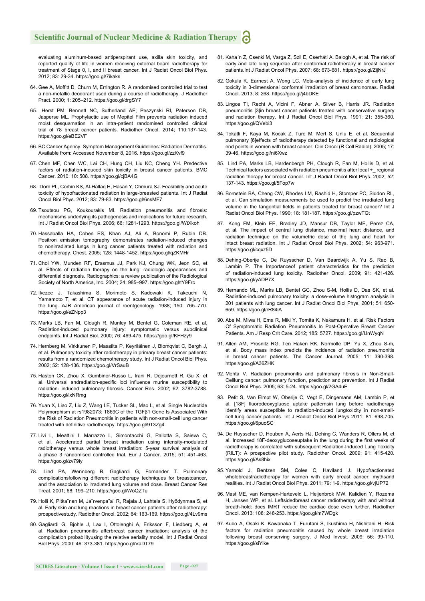evaluating aluminum-based antiperspirant use, axilla skin toxicity, and reported quality of life in women receiving external beam radiotherapy for treatment of Stage 0, I, and II breast cancer. Int J Radiat Oncol Biol Phys. 2012; 83: 29-34. https://goo.gl/7ikaks

- 64. Gee A, Moffitt D, Churn M, Errington R. A randomised controlled trial to test a non-metallic deodorant used during a course of radiotherapy. J Radiother Pract. 2000; 1: 205–212. https://goo.gl/drgSY7
- 65. Herst PM, Bennett NC, Sutherland AE, Peszynski RI, Paterson DB, Jasperse ML. Prophylactic use of Mepitel Film prevents radiation induced moist desquamation in an intra-patient randomised controlled clinical trial of 78 breast cancer patients. Radiother Oncol. 2014; 110:137-143. https://goo.gl/eBE2VF
- 66. BC Cancer Agency. Symptom Management Guidelines: Radiation Dermatitis. Available from: Accessed November 8, 2016. https://goo.gl/zzKvf9
- 67. Chen MF, Chen WC, Lai CH, Hung CH, Liu KC, Cheng YH. Predective factors of radiation-induced skin toxicity in breast cancer patients. BMC Cancer. 2010; 10: 508. https://goo.gl/cjBA4G
- 68. Dorn PL, Corbin KS, Al-Hallaq H, Hasan Y, Chmura SJ. Feasibility and acute toxicity of hypofractionated radiation in large-breasted patients. Int J Radiat Oncol Biol Phys. 2012; 83: 79-83. https://goo.gl/6nsMF7
- 69. Tsoutsou PG, Koukourakis MI. Radiation pneumonitis and fibrosis: mechanisms underlying its pathogenesis and implications for future research. Int J Radiat Oncol Biol Phys. 2006; 66: 1281-1293. https://goo.gl/WtXkoh
- 70. Hassaballa HA, Cohen ES, Khan AJ, Ali A, Bonomi P, Rubin DB. Positron emission tomography demonstrates radiation-induced changes to nonirradiated lungs in lung cancer patients treated with radiation and chemotherapy. Chest. 2005; 128: 1448-1452. https://goo.gl/qZKMHr
- 71. Choi YW, Munden RF, Erasmus JJ, Park KJ, Chung WK, Jeon SC, et al. Effects of radiation therapy on the lung: radiologic appearances and differential diagnosis. Radiographics: a review publication of the Radiological Society of North America, Inc. 2004; 24: 985–997. https://goo.gl/tY9Frc
- 72. Ikezoe J, Takashima S, Morimoto S, Kadowaki K, Takeuchi N, Yamamoto T, et al. CT appearance of acute radiation-induced injury in the lung. AJR American journal of roentgenology. 1988; 150: 765–770. https://goo.gl/eZNpp3
- 73. Marks LB, Fan M, Clough R, Munley M, Bentel G, Coleman RE, et al. Radiation-induced pulmonary injury: symptomatic versus subclinical endpoints. Int J Radiat Biol. 2000; 76: 469-475. https://goo.gl/KFHzy9
- 74. Hernberg M, Virkkunen P, Maasilta P, Keyriläinen J, Blomqvist C, Bergh J, et al. Pulmonary toxicity after radiotherapy in primary breast cancer patients: results from a randomized chemotherapy study. Int J Radiat Oncol Biol Phys. 2002; 52: 128-136. https://goo.gl/VrSauB
- 75. Haston CK, Zhou X, Gumbiner-Russo L, Irani R, Dejournett R, Gu X, et al. Universal andradiation-specific loci influence murine susceptibility to radiation- induced pulmonary fibrosis. Cancer Res. 2002; 62: 3782-3788. https://goo.gl/ixNRmg
- 76. Yuan X, Liao Z, Liu Z, Wang LE, Tucker SL, Mao L, et al. Single Nucleotide Polymorphism at rs1982073: T869C of the TGFβ1 Gene Is Associated With the Risk of Radiation Pneumonitis in patients with non-small-cell lung cancer treated with definitive radiotherapy. https://goo.gl/9T3Zg4
- 77. Livi L, Meattini I, Marrazzo L, Simontacchi G, Pallotta S, Saieva C, et al. Accelerated partial breast irradiation using intensity-modulated radiotherapy versus whole breast irradiation: 5-year survival analysis of a phase 3 randomised controlled trial. Eur J Cancer. 2015; 51: 451-463. https://goo.gl/zv79iy
- 78. Lind PA, Wennberg B, Gagliardi G, Fornander T. Pulmonary complicationsfollowing different radiotherapy techniques for breastcancer, and the association to irradiated lung volume and dose. Breast Cancer Res Treat. 2001; 68: 199–210. https://goo.gl/WoQZTu
- 79. Holli K, Pitka¨nen M, Ja¨rvenpa¨a¨ R, Rajala J, Lahtela S, Hyödynmaa S, et al. Early skin and lung reactions in breast cancer patients after radiotherapy: prospectivestudy. Radiother Oncol. 2002; 64: 163-169. https://goo.gl/4Lv9ms
- 80. Gagliardi G, Bjohle J, Lax I, Ottolenghi A, Eriksson F, Liedberg A, et al. Radiation pneumonitis afterbreast cancer irradiation: analysis of the complication probabilityusing the relative seriality model. Int J Radiat Oncol Biol Phys. 2000; 46: 373-381. https://goo.gl/VaDT79
- 81. Kaha´n Z, Csenki M, Varga Z, Szil E, Cserháti A, Balogh A, et al. The risk of early and late lung sequelae after conformal radiotherapy in breast cancer patients.Int J Radiat Oncol Phys. 2007; 68: 673-681. https://goo.gl/ZijNrJ
- 82. Gokula K, Earnest A, Wong LC. Meta-analysis of incidence of early lung toxicity in 3-dimensional conformal irradiation of breast carcinomas. Radiat Oncol. 2013; 8: 268. https://goo.gl/j4bDKE
- 83. Lingos TI, Recht A, Vicini F, Abner A, Silver B, Harris JR. Radiation pneumonitis [3]in breast cancer patients treated with conservative surgery and radiation therapy. Int J Radiat Oncol Biol Phys. 1991; 21: 355-360. https://goo.gl/QVebi3
- 84. Tokatli F, Kaya M, Kocak Z, Ture M, Mert S, Unlu E, et al. Sequential pulmonary [6]effects of radiotherapy detected by functional and radiological end points in women with breast cancer. Clin Oncol (R Coll Radiol). 2005; 17: 39-46. https://goo.gl/ni6Xwz
- 85. Lind PA, Marks LB, Hardenbergh PH, Clough R, Fan M, Hollis D, et al. Technical factors associated with radiation pneumonitis after local +\_ regional radiation therapy for breast cancer. Int J Radiat Oncol Biol Phys. 2002; 52: 137-143. https://goo.gl/5Fop7w
- 86. Bornstein BA, Cheng CW, Rhodes LM, Rashid H, Stomper PC, Siddon RL, et al. Can simulation measurements be used to predict the irradiated lung volume in the tangential fields in patients treated for breast cancer? Int J Radiat Oncol Biol Phys. 1990; 18: 181-187. https://goo.gl/pzwTGt
- 87. Kong FM, Klein EE, Bradley JD, Mansur DB, Taylor ME, Perez CA, et al. The impact of central lung distance, maximal heart distance, and radiation technique on the volumetric dose of the lung and heart for intact breast radiation. Int J Radiat Oncol Biol Phys. 2002; 54: 963-971. https://goo.gl/cqxz5D
- 88. Dehing-Oberije C, De Ruysscher D, Van Baardwijk A, Yu S, Rao B, Lambin P. The Importanceof patient characteristics for the prediction of radiation-induced lung toxicity. Radiother Oncol. 2009; 91: 421-426. https://goo.gl/yADP7X
- 89. Hernando ML, Marks LB, Bentel GC, Zhou S-M, Hollis D, Das SK, et al. Radiation-induced pulmonary toxicity: a dose-volume histogram analysis in 201 patients with lung cancer. Int J Radiat Oncol Biol Phys. 2001; 51: 650- 659. https://goo.gl/rR84iA
- 90. Abe M, Miwa H, Ema R, Miki Y, Tomita K, Nakamura H, et al. Risk Factors Of Symptomatic Radiation Pneumonitis In Post-Operative Breast Cancer Patients. Am J Resp Crit Care. 2012; 185: 5727. https://goo.gl/UnWyqN
- 91. Allen AM, Prosnitz RG, Ten Haken RK, Normolle DP, Yu X, Zhou S-m, et al. Body mass index predicts the incidence of radiation pneumonitis in breast cancer patients. The Cancer Journal. 2005; 11: 390-398. https://goo.gl/A36ZHK
- 92. Mehta V. Radiation pneumonitis and pulmonary fibrosis in Non-Small-Celllung cancer: pulmonary function, prediction and prevention. Int J Radiat Oncol Biol Phys. 2005; 63: 5-24. https://goo.gl/2GA4uE
- 93. Petit S, Van Elmpt W, Oberije C, Vegt E, Dingemans AM, Lambin P, et al. [18F] fluorodeoxygluose uptake patternsin lung before radiotherapy identify areas susceptible to radiation-induced lungtoxicity in non-smallcell lung cancer patients. Int J Radiat Oncol Biol Phys 2011; 81: 698-705. https://goo.gl/6puoSC
- 94. De Ruysscher D, Houben A, Aerts HJ, Dehing C, Wanders R, Ollers M, et al. Increased 18F-deoxyglucoseuptake in the lung during the first weeks of radiotherapy is correlated with subsequent Radiation-Induced Lung Toxicity (RILT): A prospective pilot study. Radiother Oncol. 2009; 91: 415-420. https://goo.gl/As8hix
- 95. Yarnold J, Bentzen SM, Coles C, Haviland J. Hypofractionated wholebreastradiotherapy for women with early breast cancer: mythsand realities. Int J Radiat Oncol Biol Phys. 2011; 79: 1-9. https://goo.gl/vjUP72
- 96. Mast ME, van Kempen-Harteveld L, Heijenbrok MW, Kalidien Y, Rozema H, Jansen WP, et al. Leftsidedbreast cancer radiotherapy with and without breath-hold: does IMRT reduce the cardiac dose even further. Radiother Oncol. 2013; 108: 248-253. https://goo.gl/m7WDgk
- 97. Kubo A, Osaki K, Kawanaka T, Furutani S, Ikushima H, Nishitani H. Risk factors for radiation pneumonitis caused by whole breast irradiation following breast conserving surgery. J Med Invest. 2009; 56: 99-110. https://goo.gl/siYike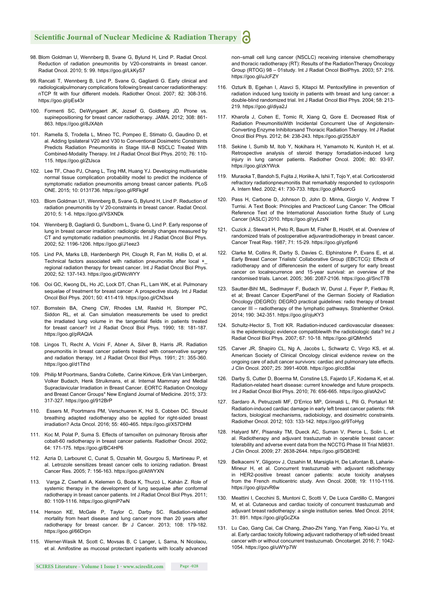- 98. Blom Goldman U, Wennberg B, Svane G, Bylund H, Lind P. Radiat Oncol. Reduction of radiation pneumonitis by V20-constraints in breast cancer. Radiat Oncol. 2010; 5: 99. https://goo.gl/LkKyS7
- 99. Rancati T, Wennberg B, Lind P, Svane G, Gagliardi G. Early clinical and radiologicalpulmonary complications following breast cancer radiationtherapy: nTCP fit with four different models. Radiother Oncol. 2007; 82: 308-316. https://goo.gl/pEs43r
- 100. Formenti SC, DeWyngaert JK, Jozsef G, Goldberg JD. Prone vs. supinepositioning for breast cancer radiotherapy. JAMA. 2012; 308: 861- 863. https://goo.gl/8JXAbh
- 101. Ramella S, Trodella L, Mineo TC, Pompeo E, Stimato G, Gaudino D, et al. Adding Ipsilateral V20 and V30 to Conventional Dosimetric Constraints Predicts Radiation Pneumonitis in Stage IIIA–B NSCLC Treated With Combined-Modality Therapy. Int J Radiat Oncol Biol Phys. 2010; 76: 110- 115. https://goo.gl/ZtJsca
- 102. Lee TF, Chao PJ, Chang L, Ting HM, Huang YJ. Developing multivariable normal tissue complication probability model to predict the incidence of symptomatic radiation pneumonitis among breast cancer patients. PLoS ONE. 2015; 10: 0131736. https://goo.gl/RFkgkf
- 103. Blom Goldman U1, Wennberg B, Svane G, Bylund H, Lind P. Reduction of radiation pneumonitis by V 20-constraints in breast cancer. Radiat Oncol. 2010; 5: 1-6. https://goo.gl/VSXNDk
- 104. Wennberg B, Gagliardi G, Sundbom L, Svane G, Lind P. Early response of lung in breast cancer irradiation: radiologic density changes measured by CT and symptomatic radiation pneumonitis. Int J Radiat Oncol Biol Phys. 2002; 52: 1196-1206. https://goo.gl/J1eez3
- 105. Lind PA, Marks LB, Hardenbergh PH, Clough R, Fan M, Hollis D, et al. Technical factors associated with radiation pneumonitis after local +\_ regional radiation therapy for breast cancer. Int J Radiat Oncol Biol Phys. 2002; 52: 137-143. https://goo.gl/DWcWYY
- 106. Ooi GC, Kwong DL, Ho JC, Lock DT, Chan FL, Lam WK, et al. Pulmonary sequelae of treatment for breast cancer: A prospective study. Int J Radiat Oncol Biol Phys. 2001; 50: 411-419. https://goo.gl/CN3sx4
- 107. Bornstein BA, Cheng CW, Rhodes LM, Rashid H, Stomper PC, Siddon RL, et al. Can simulation measurements be used to predict the irradiated lung volume in the tangential fields in patients treated for breast cancer? Int J Radiat Oncol Biol Phys. 1990; 18: 181-187. https://goo.gl/pRAQiA
- 108. Lingos TI, Recht A, Vicini F, Abner A, Silver B, Harris JR. Radiation pneumonitis in breast cancer patients treated with conservative surgery and radiation therapy. Int J Radiat Oncol Biol Phys. 1991; 21: 355-360. https://goo.gl/d1Tihd
- 109. Philip M Poortmans, Sandra Collette, Carine Kirkove, Erik Van Limbergen, Volker Budach, Henk Struikmans, et al. Internal Mammary and Medial Supraclavicular Irradiation in Breast Cancer. EORTC Radiation Oncology and Breast Cancer Groups\* New England Journal of Medicine. 2015; 373: 317-327. https://goo.gl/912BrP
- 110. Essers M, Poortmans PM, Verschueren K, Hol S, Cobben DC. Should breathing adapted radiotherapy also be applied for right-sided breast irradiation? Acta Oncol. 2016; 55: 460-465. https://goo.gl/X57DHM
- 111. Koc M, Polat P, Suma S. Effects of tamoxifen on pulmonary fibrosis after cobalt-60 radiotherapy in breast cancer patients. Radiother Oncol. 2002; 64: 171-175. https://goo.gl/BC4HP6
- 112. Azria D, Larbouret C, Cunat S, Ozsahin M, Gourgou S, Martineau P, et al. Letrozole sensitizes breast cancer cells to ionizing radiation. Breast Cancer Res. 2005; 7: 156-163. https://goo.gl/AtWYXN
- 113. Varga Z, Cserhati A, Kelemen G, Boda K, Thurzó L, Kahán Z. Role of systemic therapy in the development of lung sequelae after conformal radiotherapy in breast cancer patients. Int J Radiat Oncol Biol Phys. 2011; 80: 1109-1116. https://goo.gl/qmP7wN
- 114. Henson KE, McGale P, Taylor C, Darby SC. Radiation-related mortality from heart disease and lung cancer more than 20 years after radiotherapy for breast cancer. Br J Cancer. 2013; 108: 179-182. https://goo.gl/66Drpn
- 115. Werner-Wasik M, Scott C, Movsas B, C Langer, L Sarna, N Nicolaou, et al. Amifostine as mucosal protectant inpatients with locally advanced

non–small cell lung cancer (NSCLC) receiving intensive chemotherapy and thoracic radiotherapy (RT): Results of the RadiationTherapy Oncology Group (RTOG) 98 – 01study. Int J Radiat Oncol BiolPhys. 2003; 57: 216. https://goo.gl/uJcFZY

- 116. Ozturk B, Egehan I, Atavci S, Kitapci M. Pentoxifylline in prevention of radiation induced lung toxicity in patients with breast and lung cancer: a double-blind randomized trial. Int J Radiat Oncol Biol Phys. 2004; 58: 213- 219. https://goo.gl/diya2J
- 117. Kharofa J, Cohen E, Tomic R, Xiang Q, Gore E. Decreased Risk of Radiation PneumonitisWith Incidental Concurrent Use of Angiotensin-Converting Enzyme Inhibitorsand Thoracic Radiation Therapy. Int J Radiat Oncol Biol Phys. 2012; 84: 238-243. https://goo.gl/255JbY
- 118. Sekine I, Sumib M, Itob Y, Nokihara H, Yamamoto N, Kunitoh H, et al. Retrospective analysis of steroid therapy forradiation-induced lung injury in lung cancer patients. Radiother Oncol. 2006; 80: 93-97. https://goo.gl/zkYWck
- 119. Muraoka T, Bandoh S, Fujita J, Horiike A, Ishii T, Tojo Y, et al. Corticosteroid refractory radiationpneumonitis that remarkably responded to cyclosporin A. Intern Med. 2002; 41: 730-733. https://goo.gl/MuorcG
- 120. Pass H, Carbone D, Johnson D, John D. Minna, Giorgio V, Andrew T Turrisi. A Text Book: Principles and Practiceof Lung Cancer: The Official Reference Text of the International Association forthe Study of Lung Cancer (IASLC) 2010. https://goo.gl/yyLzsN
- 121. Cuzick J, Stewart H, Peto R, Baum M, Fisher B, HostH, et al. Overview of randomized trials of postoperative adjuvantradiotherapy in breast cancer. Cancer Treat Rep. 1987; 71: 15-29. https://goo.gl/yz6pn6
- 122. Clarke M, Collins R, Darby S, Davies C, Elphinstone P, Evans E, et al. Early Breast Cancer Trialists' Collaborative Group (EBCTCG): Effects of radiotherapy and of differencesin the extent of surgery for early breast cancer on localrecurrence and 15-year survival: an overview of the randomised trials. Lancet. 2005; 366: 2087-2106. https://goo.gl/SncT7B
- 123. Sautter-Bihl ML, Sedlmayer F, Budach W, Dunst J, Feyer P, Fietkau R, et al; Breast Cancer ExpertPanel of the German Society of Radiation Oncology (DEGRO): DEGRO practical guidelines: radio therapy of breast cancer III – radiotherapy of the lymphatic pathways. Strahlenther Onkol. 2014; 190: 342-351. https://goo.gl/ojuKY3
- 124. Schultz-Hector S, Trott KR. Radiation-induced cardiovascular diseases: is the epidemiologic evidence compatiblewith the radiobiologic data? Int J Radiat Oncol Biol Phys. 2007; 67: 10-18. https://goo.gl/QMmfx5
- 125. Carver JR, Shapiro CL, Ng A, Jacobs L, Schwartz C, Virgo KS, et al. American Society of Clinical Oncology clinical evidence review on the ongoing care of adult cancer survivors: cardiac and pulmonary late effects. J Clin Oncol. 2007; 25: 3991-4008. https://goo.gl/ccB5ai
- 126. Darby S, Cutter D, Boerma M, Constine LS, Fajardo LF, Kodama K, et al. Radiation-related heart disease: current knowledge and future prospects. Int J Radiat Oncol Biol Phys. 2010; 76: 656-665. https://goo.gl/atA2vC
- 127. Sardaro A, Petruzzelli MF, D'Errico MP, Grimaldi L, Pili G, Portaluri M: Radiation-induced cardiac damage in early left breast cancer patients: risk factors, biological mechanisms, radiobiology, and dosimetric constraints. Radiother Oncol. 2012; 103: 133-142. https://goo.gl/9ToHyg
- 128. Halyard MY, Pisansky TM, Dueck AC, Suman V, Pierce L, Solin L, et al. Radiotherapy and adjuvant trastuzumab in operable breast cancer: tolerability and adverse event data from the NCCTG Phase III Trial N9831. J Clin Oncol. 2009; 27: 2638-2644. https://goo.gl/SQ83HE
- 129. Belkacemi Y, Gligorov J, Ozsahin M, Marsiglia H, De Lafontan B, Laharie-Mineur H, et al. Concurrent trastuzumab with adjuvant radiotherapy in HER2-positive breast cancer patients: acute toxicity analyses from the French multicentric study. Ann Oncol. 2008; 19: 1110-1116. https://goo.gl/pzvR6w
- 130. Meattini I, Cecchini S, Muntoni C, Scotti V, De Luca Cardillo C, Mangoni M, et al. Cutaneous and cardiac toxicity of concurrent trastuzumab and adjuvant breast radiotherapy: a single institution series. Med Oncol. 2014; 31: 891. https://goo.gl/gGcZXa
- 131. Lu Cao, Gang Cai, Cai Chang, Zhao-Zhi Yang, Yan Feng, Xiao-Li Yu, et al. Early cardiac toxicity following adjuvant radiotherapy of left-sided breast cancer with or without concurrent trastuzumab. Oncotarget. 2016; 7: 1042- 1054. https://goo.gl/uWYp7W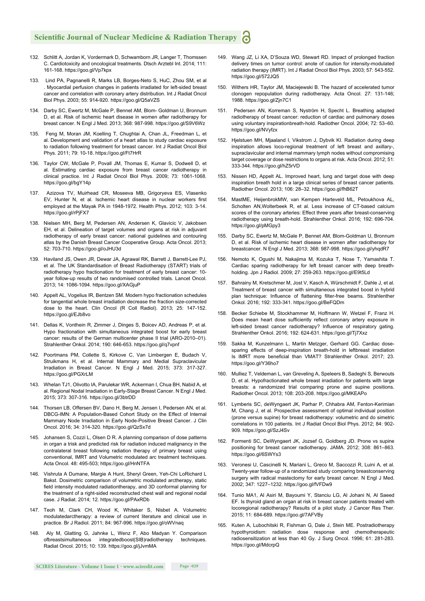- 132. Schlitt A, Jordan K, Vordermark D, Schwamborn JR, Langer T, Thomssen C. Cardiotoxicity and oncological treatments. Dtsch Arztebl Int. 2014; 111: 161-168. https://goo.gl/Vp7kpx
- 133. Lind PA, Pagnanelli R, Marks LB, Borges-Neto S, HuC, Zhou SM, et al . Myocardial perfusion changes in patients irradiated for left-sided breast cancer and correlation with coronary artery distribution. Int J Radiat Oncol Biol Phys. 2003; 55: 914-920. https://goo.gl/Q5aVZS
- 134. Darby SC, Ewertz M, McGale P, Bennet AM, Blom- Goldman U, Bronnum D, et al. Risk of ischemic heart disease in women after radiotherapy for breast cancer. N Engl J Med. 2013; 368: 987-998. https://goo.gl/S9V6Wz
- 135. Feng M, Moran JM, Koelling T, Chughtai A, Chan JL, Freedman L, et al. Development and validation of a heart atlas to study cardiac exposure to radiation following treatment for breast cancer. Int J Radiat Oncol Biol Phys. 2011; 79: 10-18. https://goo.gl/Ft7HrR
- 136. Taylor CW, McGale P, Povall JM, Thomas E, Kumar S, Dodwell D, et al. Estimating cardiac exposure from breast cancer radiotherapy in clinical practice. Int J Radiat Oncol Biol Phys. 2009; 73: 1061-1068. https://goo.gl/bgY14p
- 137. Azizova TV, Muirhead CR, Moseeva MB, Grigoryeva ES, Vlasenko EV, Hunter N, et al. Ischemic heart disease in nuclear workers first employed at the Mayak PA in 1948-1972. Health Phys. 2012; 103: 3-14. https://goo.gl/rPjFX7
- 138. Nielsen MH, Berg M, Pedersen AN, Andersen K, Glavicic V, Jakobsen EH, et al. Delineation of target volumes and organs at risk in adjuvant radiotherapy of early breast cancer: national guidelines and contouring atlas by the Danish Breast Cancer Cooperative Group. Acta Oncol. 2013; 52: 703-710. https://goo.gl/oJHU3d
- 139. Haviland JS, Owen JR, Dewar JA, Agrawal RK, Barrett J, Barrett-Lee PJ, et al. The UK Standardisation of Breast Radiotherapy (START) trials of radiotherapy hypo fractionation for treatment of early breast cancer: 10 year follow-up results of two randomised controlled trials. Lancet Oncol. 2013; 14: 1086-1094. https://goo.gl/XAGjuP
- 140. Appelt AL, Vogelius IR, Bentzen SM. Modern hypo fractionation schedules for tangential whole breast irradiation decrease the fraction size-corrected dose to the heart. Clin Oncol (R Coll Radiol). 2013; 25: 147-152. https://goo.gl/EJb8vo
- 141. Dellas K, Vonthein R, Zimmer J, Dinges S, Boicev AD, Andreas P, et al. Hypo fractionation with simultaneous integrated boost for early breast cancer: results of the German multicenter phase II trial (ARO-2010–01). Strahlenther Onkol. 2014; 190: 646-653. https://goo.gl/q7vpnf
- 142. Poortmans PM, Collette S, Kirkove C, Van Limbergen E, Budach V, Struikmans H, et al. Internal Mammary and Medial Supraclavicular Irradiation in Breast Cancer. N Engl J Med. 2015; 373: 317-327. https://goo.gl/PGXrLM
- 143. Whelan TJ1, Olivotto IA, Parulekar WR, Ackerman I, Chua BH, Nabid A, et al. Regional Nodal Irradiation in Early-Stage Breast Cancer. N Engl J Med. 2015; 373: 307-316. https://goo.gl/3btrDD
- 144. Thorsen LB, Offersen BV, Dano H, Berg M, Jensen I, Pedersen AN, et al. DBCG-IMN: A Population-Based Cohort Study on the Effect of Internal Mammary Node Irradiation in Early Node-Positive Breast Cancer. J Clin Oncol. 2016; 34: 314-320. https://goo.gl/QzSx7d
- 145. Johansen S, Cozzi L, Olsen D R. A planning comparison of dose patterns in organ a trisk and predicted risk for radiation induced malignancy in the contralateral breast following radiation therapy of primary breast using conventional, IMRT and Volumetric modulated arc treatment techniques. Acta Oncol. 48: 495-503; https://goo.gl/HnNTFA
- 146. Vishruta A Dumane, Margie A Hunt, Sheryl Green, Yeh-Chi LoRichard L Bakst. Dosimetric comparison of volumetric modulated arctherapy, static field intensity modulated radiationtherapy, and 3D conformal planning for the treatment of a right-sided reconstructed chest wall and regional nodal case. J Radiat. 2014; 12. https://goo.gl/PAxRDb
- 147. Teoh M, Clark CH, Wood K, Whitaker S, Nisbet A. Volumetric modulatedarctherapy: a review of current literature and clinical use in practice. Br J Radiol. 2011; 84: 967-996. https://goo.gl/oWVnaq
- 148. Aly M, Glatting G, Jahnke L, Wenz F, Abo Madyan Y. Comparison ofbreastsimultaneous integratedboost(SIB)radiotherapy techniques. Radiat Oncol. 2015; 10: 139. https://goo.gl/jJvmMA
- 149. Wang JZ, Li XA, D'Souza WD, Stewart RD. Impact of prolonged fraction delivery times on tumor control: anote of caution for intensity-modulated radiation therapy (IMRT). Int J Radiat Oncol Biol Phys. 2003; 57: 543-552. https://goo.gl/572JQ5
- 150. Withers HR, Taylor JM, Maciejewski B. The hazard of accelerated tumor clonogen repopulation during radiotherapy. Acta Oncol. 27: 131-146; 1988. https://goo.gl/Zjn7C1
- 151. Pedersen AN, Korreman S, Nyström H, Specht L. Breathing adapted radiotherapy of breast cancer: reduction of cardiac and pulmonary doses using voluntary inspirationbreath-hold. Radiother Oncol. 2004; 72: 53–60. https://goo.gl/NVyfzx
- 152. Hjelstuen MH, Mjaaland I, Vikstrom J, Dybvik KI. Radiation during deep inspiration allows loco-regional treatment of left breast and axillary-, supraclavicular and internal mammary lymph nodes without compromising target coverage or dose restrictions to organs at risk. Acta Oncol. 2012; 51: 333-344. https://goo.gl/hZ5rVD
- 153. Nissen HD, Appelt AL. Improved heart, lung and target dose with deep inspiration breath hold in a large clinical series of breast cancer patients. Radiother Oncol. 2013; 106: 28–32. https://goo.gl/fhB62T
- 154. MastME, HeijenbrokMW, van Kempen Harteveld ML, Petoukhova AL, Scholten AN,Wolterbeek R, et al. Less increase of CT-based calcium scores of the coronary arteries: Effect three years after breast-conserving radiotherapy using breath-hold. Strahlenther Onkol. 2016; 192: 696-704. https://goo.gl/pMGpy3
- 155. Darby SC, Ewertz M, McGale P, Bennet AM, Blom-Goldman U, Bronnum D, et al. Risk of ischemic heart disease in women after radiotherapy for breastcancer. N Engl J Med. 2013; 368: 987-998. https://goo.gl/yhqdR7
- 156. Nemoto K, Ogushi M, Nakajima M, Kozuka T, Nose T, Yamashita T. Cardiac sparing radiotherapy for left breast cancer with deep breathholding. Jpn J Radiol. 2009; 27: 259-263. https://goo.gl/E9t5Ld
- 157. Bahrainy M, Kretschmer M, Jost V, Kasch A, Würschmidt F, Dahle J, et al. Treatment of breast cancer with simultaneous integrated boost in hybrid plan technique: Influence of flattening filter-free beams. Strahlenther Onkol. 2016; 192: 333-341. https://goo.gl/BeFQDm
- 158. Becker Schiebe M, Stockhammer M, Hoffmann W, Wetzel F, Franz H. Does mean heart dose sufficiently reflect coronary artery exposure in left-sided breast cancer radiotherapy? Influence of respiratory gating. Strahlenther Onkol. 2016; 192: 624-631. https://goo.gl/Tj7Xxz
- 159. Sakka M, Kunzelmann L, Martin Metzger, Gerhard GG. Cardiac dosesparing effects of deep-inspiration breath-hold in leftbreast irradiation Is IMRT more beneficial than VMAT? Strahlenther Onkol. 2017; 23. https://goo.gl/Y36ho7
- 160. Mulliez T, Veldeman L, van Greveling A, Speleers B, Sadeghi S, Berwouts D, et al. Hypofractionated whole breast irradiation for patients with large breasts: a randomized trial comparing prone and supine positions. Radiother Oncol. 2013; 108: 203-208. https://goo.gl/MKEAPo
- 161. Lymberis SC, deWyngaert JK, Parhar P, Chhabra AM, Fenton-Kerimian M, Chang J, et al. Prospective assessment of optimal individual position (prone versus supine) for breast radiotherapy: volumetric and do simetric correlations in 100 patients. Int J Radiat Oncol Biol Phys. 2012; 84: 902- 909. https://goo.gl/SzJ4Sv
- 162. Formenti SC, DeWyngaert JK, Jozsef G, Goldberg JD. Prone vs supine positioning for breast cancer radiotherapy. JAMA. 2012; 308: 861–863. https://goo.gl/6SWYs3
- 163. Veronesi U, Cascinelli N, Mariani L, Greco M, Saccozzi R, Luini A, et al. Twenty-year follow-up of a randomized study comparing breastconserving surgery with radical mastectomy for early breast cancer. N Engl J Med. 2002; 347: 1227–1232. https://goo.gl/fVFDw9
- 164. Tunio MA1, Al Asiri M, Bayoumi Y, Stanciu LG, Al Johani N, Al Saeed EF. Is thyroid gland an organ at risk in breast cancer patients treated with locoregional radiotherapy? Results of a pilot study. J Cancer Res Ther. 2015; 11: 684-689. https://goo.gl/7AFVBy
- 165. Kuten A, Lubochitski R, Fishman G, Dale J, Stein ME. Postradiotherapy hypothyroidism: radiation dose response and chemotherapeutic radiosensitization at less than 40 Gy. J Surg Oncol. 1996; 61: 281-283. https://goo.gl/MdcrpQ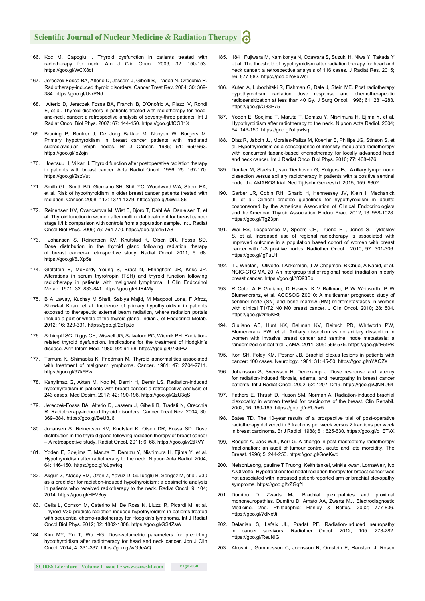# **Scientific Journal of Nuclear Medicine & Radiation Therapy**

- 166. Koc M, Capoglu I. Thyroid dysfunction in patients treated with radiotherapy for neck. Am J Clin Oncol. 2009; 32: 150-153. https://goo.gl/WCX8qf
- 167. Jereczek Fossa BA, Alterio D, Jassem J, Gibelli B, Tradati N, Orecchia R. Radiotherapy-induced thyroid disorders. Cancer Treat Rev. 2004; 30: 369- 384. https://goo.gl/UvrPNd
- 168. Alterio D, Jereczek Fossa BA, Franchi B, D'Onofrio A, Piazzi V, Rondi E, et al. Thyroid disorders in patients treated with radiotherapy for headand-neck cancer: a retrospective analysis of seventy-three patients. Int J Radiat Oncol Biol Phys. 2007; 67: 144-150. https://goo.gl/fCG81X
- 169. Bruning P, Bonfrer J, De Jong Bakker M, Nooyen W, Burgers M. Primary hypothyroidism in breast cancer patients with irradiated supraclavicular lymph nodes. Br J Cancer. 1985; 51: 659-663. https://goo.gl/io2ojn
- 170. Joensuu H, Viikari J. Thyroid function after postoperative radiation therapy in patients with breast cancer. Acta Radiol Oncol. 1986; 25: 167-170. https://goo.gl/2szVut
- 171. Smith GL, Smith BD, Giordano SH, Shih YC, Woodward WA, Strom EA, et al. Risk of hypothyroidism in older breast cancer patients treated with radiation. Cancer. 2008; 112: 1371-1379. https://goo.gl/GWLL86
- 172. Reinertsen KV, Cvancarova M, Wist E, Bjoro T, Dahl AA, Danielsen T, et al. Thyroid function in women after multimodal treatment for breast cancer stage II/III: comparison with controls from a population sample. Int J Radiat Oncol Biol Phys. 2009; 75: 764-770. https://goo.gl/o15TA8
- Johansen S, Reinertsen KV, Knutstad K, Olsen DR, Fossa SD. Dose distribution in the thyroid gland following radiation therapy of breast cancer-a retrospective study. Radiat Oncol. 2011; 6: 68. https://goo.gl/6JXp5e
- 174. Glatstein E, McHardy Young S, Brast N, Eltringham JR, Kriss JP. Alterations in serum thyrotropin (TSH) and thyroid function following radiotherapy in patients with malignant lymphoma. J Clin Endocrinol Metab. 1971; 32: 833-841. https://goo.gl/KJR4My
- 175. B A Laway, Kuchay M Shafi, Sabiya Majid, M Maqbool Lone, F Afroz, Showkat Khan, et al. Incidence of primary hypothyroidism in patients exposed to therapeutic external beam radiation, where radiation portals include a part or whole of the thyroid gland. Indian J of Endocrinol Metab. 2012; 16: 329-331. https://goo.gl/2cTpJc
- 176. Schimpff SC, Diggs CH, Wiswell JG, Salvatore PC, Wiernik PH. Radiationrelated thyroid dysfunction. Implications for the treatment of Hodgkin's disease. Ann Intern Med. 1980; 92: 91-98. https://goo.gl/97k6Pw
- 177. Tamura K, Shimaoka K, Friedman M. Thyroid abnormalities associated with treatment of malignant lymphoma. Cancer. 1981; 47: 2704-2711. https://goo.gl/97k6Pw
- 178. Kanyilmaz G, Aktan M, Koc M, Demir H, Demir LS. Radiation-induced hypothyroidism in patients with breast cancer: a retrospective analysis of 243 cases. Med Dosim. 2017; 42: 190-196. https://goo.gl/QzU3qS
- 179. Jereczek-Fossa BA, Alterio D, Jassem J, Gibelli B, Tradati N, Orecchia R. Radiotherapy-induced thyroid disorders. Cancer Treat Rev. 2004; 30: 369–384. https://goo.gl/BeU8J6
- 180. Johansen S, Reinertsen KV, Knutstad K, Olsen DR, Fossa SD. Dose distribution in the thyroid gland following radiation therapy of breast cancer – A retrospective study. Radiat Oncol. 2011; 6: 68. https://goo.gl/v2tRVY
- 181. Yoden E, Soejima T, Maruta T, Demizu Y, Nishimura H, Ejima Y, et al. Hypothyroidism after radiotherapy to the neck. Nippon Acta Radiol. 2004; 64: 146-150. https://goo.gl/oLpwNq
- 182. Akgun Z, Atasoy BM, Ozen Z, Yavuz D, Gulluoglu B, Sengoz M, et al. V30 as a predictor for radiation-induced hypothyroidism: a dosimetric analysis in patients who received radiotherapy to the neck. Radiat Oncol. 9: 104; 2014. https://goo.gl/HFV8oy
- 183. Cella L, Conson M, Caterino M, De Rosa N, Liuzzi R, Picardi M, et al. Thyroid V30 predicts radiation-induced hypothyroidism in patients treated with sequential chemo-radiotherapy for Hodgkin's lymphoma. Int J Radiat Oncol Biol Phys. 2012; 82: 1802-1808. https://goo.gl/GS4ZsW
- 184. Kim MY, Yu T, Wu HG. Dose-volumetric parameters for predicting hypothyroidism after radiotherapy for head and neck cancer. Jpn J Clin Oncol. 2014; 4: 331-337. https://goo.gl/wG9eAQ
- 185. 184 Fujiwara M, Kamikonya N, Odawara S, Suzuki H, Niwa Y, Takada Y et al. The threshold of hypothyroidism after radiation therapy for head and neck cancer: a retrospective analysis of 116 cases. J Radiat Res. 2015; 56: 577-582. https://goo.gl/e8bWsi
- 186. Kuten A, Lubochitski R, Fishman G, Dale J, Stein ME. Post radiotherapy hypothyroidism: radiation dose response and chemotherapeutic radiosensitization at less than 40 Gy. J Surg Oncol. 1996; 61: 281–283. https://goo.gl/G83P75
- 187. Yoden E, Soejima T, Maruta T, Demizu Y, Nishimura H, Ejima Y, et al. Hypothyroidism after radiotherapy to the neck. Nippon Acta Radiol. 2004; 64: 146-150. https://goo.gl/oLpwNq
- 188. Diaz R, Jaboin JJ, Morales-Paliza M, Koehler E, Phillips JG, Stinson S, et al. Hypothyroidism as a consequence of intensity-modulated radiotherapy with concurrent taxane-based chemotherapy for locally advanced head and neck cancer. Int J Radiat Oncol Biol Phys. 2010; 77: 468-476.
- 189. Donker M, Slaets L, van Tienhoven G, Rutgers EJ. Axillary lymph node dissection versus axillary radiotherapy in patients with a positive sentinel node: the AMAROS trial. Ned Tijdschr Geneeskd. 2015; 159: 9302.
- 190. Garber JR, Cobin RH, Gharib H, Hennessey JV, Klein I, Mechanick JI, et al. Clinical practice guidelines for hypothyroidism in adults: cosponsored by the American Association of Clinical Endocrinologists and the American Thyroid Association. Endocr Pract. 2012; 18: 988-1028. https://goo.gl/TgZ3pn
- 191. Wai ES, Lesperance M, Speers CH, Truong PT, Jones S, Tyldesley S, et al. Increased use of regional radiotherapy is associated with improved outcome in a population based cohort of women with breast cancer with 1-3 positive nodes. Radiother Oncol. 2010; 97: 301-306. https://goo.gl/igTuU1
- 192. T J Whelan, I Olivotto, I Ackerman, J W Chapman, B Chua, A Nabid, et al. NCIC-CTG MA. 20: An intergroup trial of regional nodal irradiation in early breast cancer. https://goo.gl/YQ93Bo
- 193. R Cote, A E Giuliano, D Hawes, K V Ballman, P W Whitworth, P W Blumencranz, et al. ACOSOG Z0010: A multicenter prognostic study of sentinel node (SN) and bone marrow (BM) micrometastases in women with clinical T1/T2 N0 M0 breast cancer. J Clin Oncol. 2010; 28: 504. https://goo.gl/zm5KR5
- 194. Giuliano AE, Hunt KK, Ballman KV, Beitsch PD, Whitworth PW, Blumencranz PW, et al. Axillary dissection vs no axillary dissection in women with invasive breast cancer and sentinel node metastasis: a randomized clinical trial. JAMA. 2011; 305: 569-575. https://goo.gl/fE5fPB
- 195. Kori SH, Foley KM, Posner JB. Brachial plexus lesions in patients with cancer: 100 cases. Neurology. 1981; 31: 45-50. https://goo.gl/nYAQZe
- 196. Johansson S, Svensson H, Denekamp J. Dose response and latency for radiation-induced fibrosis, edema, and neuropathy in breast cancer patients. Int J Radiat Oncol. 2002; 52: 1207-1219. https://goo.gl/QNNU64
- 197. Fathers E, Thrush D, Huson SM, Norman A. Radiation-induced brachial plexopathy in women treated for carcinoma of the breast. Clin Rehabil. 2002; 16: 160-165. https://goo.gl/nPU5w5
- 198. Bates TD. The 10-year results of a prospective trial of post-operative radiotherapy delivered in 3 fractions per week versus 2 fractions per week in breast carcinoma. Br J Radiol. 1988; 61: 625-630. https://goo.gl/o1ETvX
- 199. Rodger A, Jack WJL, Kerr G. A change in post mastectomy radiotherapy fractionation: an audit of tumour control, acute and late morbidity. The Breast. 1996; 5: 244-250. https://goo.gl/GoeKwd
- 200. NelsonLeong, pauline T Truong, Keith tankel, winkle kwan, LornaWeir, Ivo A.Olivotto. Hypofractionated nodal radiation therapy for breast cancer was not associated with increased patient-reported arm or brachial plexopathy symptoms. https://goo.gl/xZGqf1
- 201. Dumitru D, Zwarts MJ. Brachial plexopathies and proximal mononeuropathies. Dumitru D, Amato AA, Zwarts MJ. Electrodiagnostic Medicine. 2nd. Philadephia: Hanley & Belfus. 2002; 777-836. https://goo.gl/7dNx9i
- 202. Delanian S, Lefaix JL, Pradat PF. Radiation-induced neuropathy in cancer survivors. Radiother Oncol. 2012; 105: 273-282. https://goo.gl/ReuNiG
- 203. Atroshi I, Gummesson C, Johnsson R, Ornstein E, Ranstam J, Rosen